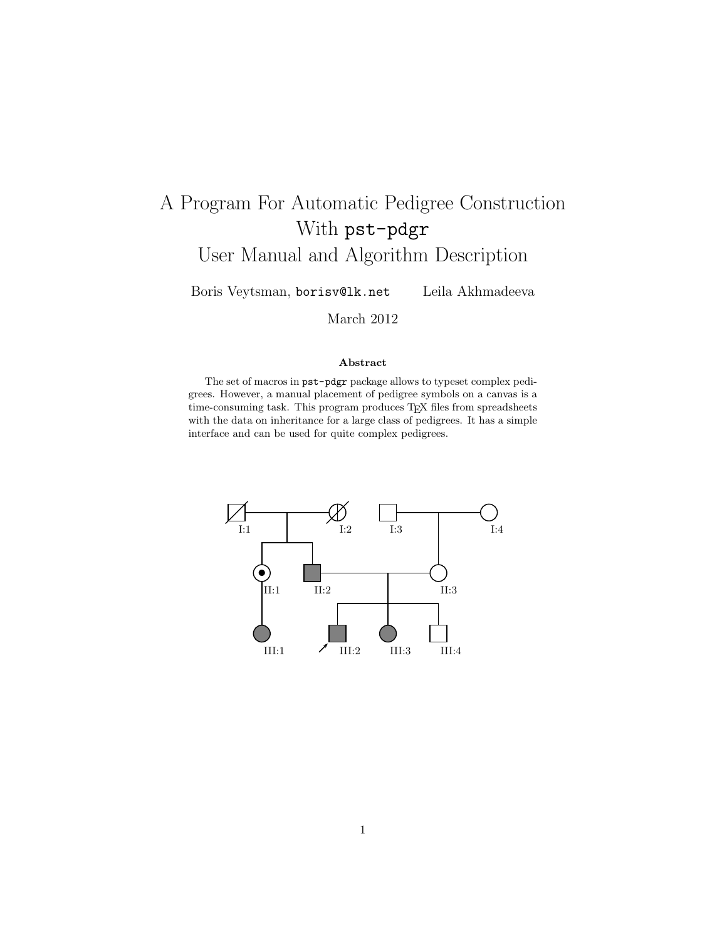# A Program For Automatic Pedigree Construction With pst-pdgr User Manual and Algorithm Description

Boris Veytsman, borisv@lk.net Leila Akhmadeeva

March 2012

#### Abstract

The set of macros in pst-pdgr package allows to typeset complex pedigrees. However, a manual placement of pedigree symbols on a canvas is a time-consuming task. This program produces TEX files from spreadsheets with the data on inheritance for a large class of pedigrees. It has a simple interface and can be used for quite complex pedigrees.

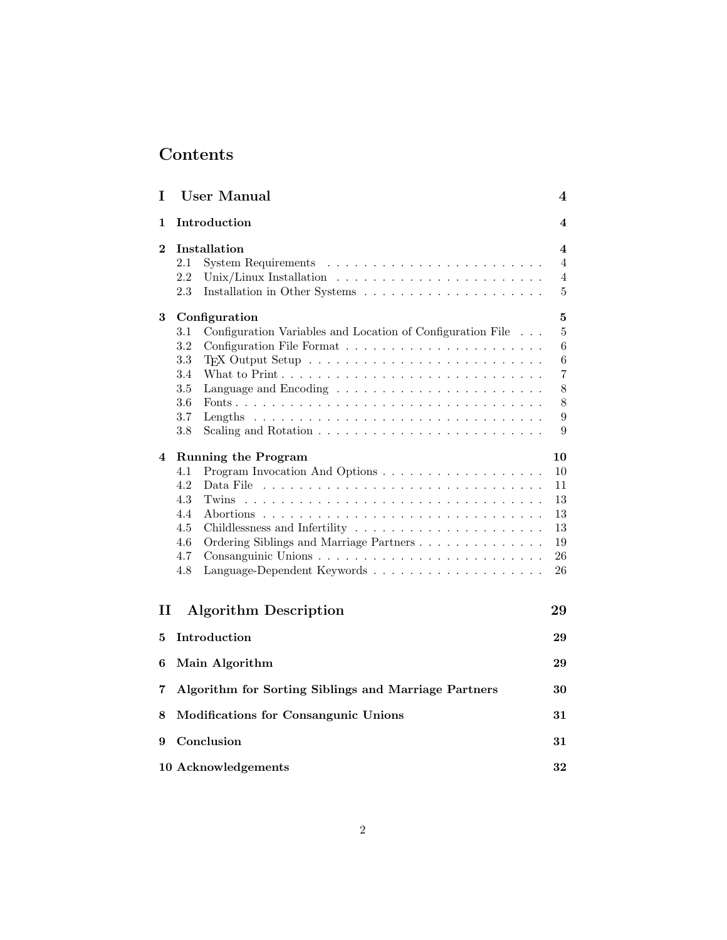# Contents

| I              | <b>User Manual</b>                                                                                                                                                                                                                                                                                                                                                                                                                                                                      | 4                                                                                                                           |
|----------------|-----------------------------------------------------------------------------------------------------------------------------------------------------------------------------------------------------------------------------------------------------------------------------------------------------------------------------------------------------------------------------------------------------------------------------------------------------------------------------------------|-----------------------------------------------------------------------------------------------------------------------------|
| 1              | Introduction                                                                                                                                                                                                                                                                                                                                                                                                                                                                            | 4                                                                                                                           |
| $\overline{2}$ | Installation<br>$2.1\,$<br>2.2<br>Unix/Linux Installation $\ldots \ldots \ldots \ldots \ldots \ldots \ldots \ldots$<br>2.3                                                                                                                                                                                                                                                                                                                                                              | 4<br>4<br>$\overline{4}$<br>$\overline{5}$                                                                                  |
| 3<br>4         | Configuration<br>Configuration Variables and Location of Configuration File $\ldots$<br>$3.1\,$<br>3.2<br>3.3<br>3.4<br>3.5<br>3.6<br>3.7<br>Lengths $\ldots \ldots \ldots \ldots \ldots \ldots \ldots \ldots \ldots \ldots \ldots$<br>3.8<br>Scaling and Rotation $\dots \dots \dots \dots \dots \dots \dots \dots \dots \dots$<br><b>Running the Program</b><br>4.1<br>4.2<br>Data File<br>4.3<br>Twins<br>4.4<br>4.5<br>4.6<br>Ordering Siblings and Marriage Partners<br>4.7<br>4.8 | 5<br>$\overline{5}$<br>6<br>6<br>7<br>8<br>8<br>$\boldsymbol{9}$<br>9<br>10<br>10<br>11<br>13<br>13<br>13<br>19<br>26<br>26 |
| $\mathbf{I}$   | <b>Algorithm Description</b>                                                                                                                                                                                                                                                                                                                                                                                                                                                            | 29                                                                                                                          |
| 5              | Introduction                                                                                                                                                                                                                                                                                                                                                                                                                                                                            | 29                                                                                                                          |
| 6              | Main Algorithm                                                                                                                                                                                                                                                                                                                                                                                                                                                                          | 29                                                                                                                          |
| 7              | Algorithm for Sorting Siblings and Marriage Partners                                                                                                                                                                                                                                                                                                                                                                                                                                    | 30                                                                                                                          |
| 8              | Modifications for Consangunic Unions                                                                                                                                                                                                                                                                                                                                                                                                                                                    | 31                                                                                                                          |
| 9              | Conclusion                                                                                                                                                                                                                                                                                                                                                                                                                                                                              | 31                                                                                                                          |
|                | 10 Acknowledgements                                                                                                                                                                                                                                                                                                                                                                                                                                                                     | 32                                                                                                                          |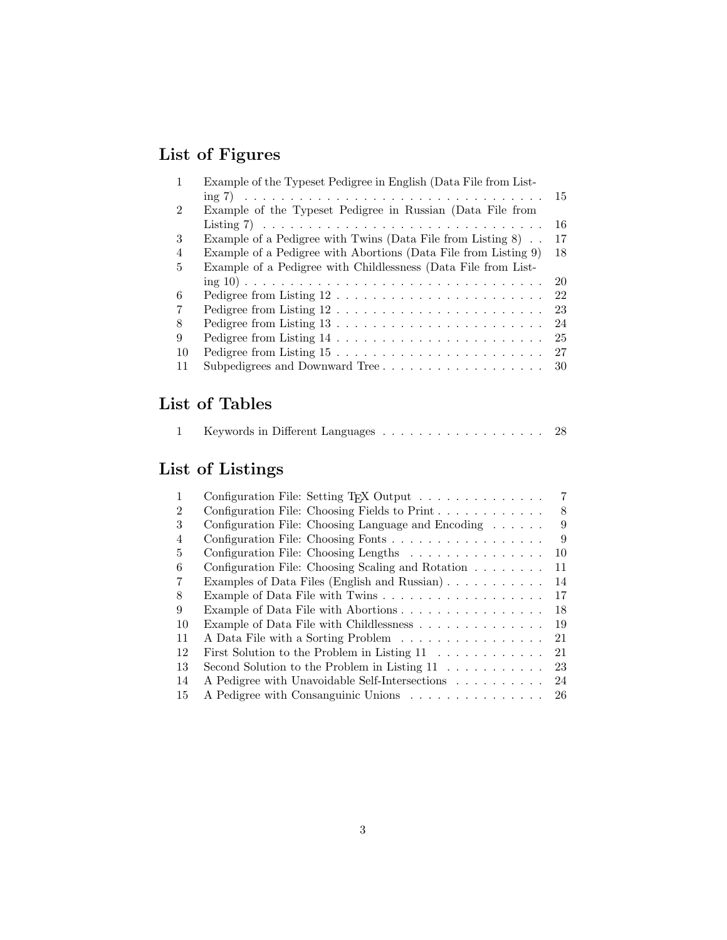# List of Figures

| 1  | Example of the Typeset Pedigree in English (Data File from List-                                    |    |  |  |  |  |  |  |  |  |
|----|-----------------------------------------------------------------------------------------------------|----|--|--|--|--|--|--|--|--|
|    | ing 7) $\ldots \ldots \ldots \ldots \ldots \ldots \ldots \ldots \ldots \ldots \ldots \ldots \ldots$ | 15 |  |  |  |  |  |  |  |  |
| 2  | Example of the Typeset Pedigree in Russian (Data File from                                          |    |  |  |  |  |  |  |  |  |
|    |                                                                                                     | 16 |  |  |  |  |  |  |  |  |
| 3  | Example of a Pedigree with Twins (Data File from Listing $8$ )                                      | 17 |  |  |  |  |  |  |  |  |
| 4  | Example of a Pedigree with Abortions (Data File from Listing 9)                                     | 18 |  |  |  |  |  |  |  |  |
| 5  | Example of a Pedigree with Childlessness (Data File from List-                                      |    |  |  |  |  |  |  |  |  |
|    |                                                                                                     | 20 |  |  |  |  |  |  |  |  |
| 6  | Pedigree from Listing 12                                                                            | 22 |  |  |  |  |  |  |  |  |
| 7  |                                                                                                     | 23 |  |  |  |  |  |  |  |  |
| 8  | Pedigree from Listing $13 \ldots \ldots \ldots \ldots \ldots \ldots \ldots \ldots$                  | 24 |  |  |  |  |  |  |  |  |
| 9  |                                                                                                     | 25 |  |  |  |  |  |  |  |  |
| 10 | Pedigree from Listing $15 \ldots \ldots \ldots \ldots \ldots \ldots \ldots$                         | 27 |  |  |  |  |  |  |  |  |
| 11 | Subpedigrees and Downward Tree                                                                      | 30 |  |  |  |  |  |  |  |  |

# List of Tables

|  |  | Keywords in Different Languages 28 |  |  |  |  |  |  |  |  |  |  |  |  |  |  |  |  |  |
|--|--|------------------------------------|--|--|--|--|--|--|--|--|--|--|--|--|--|--|--|--|--|
|--|--|------------------------------------|--|--|--|--|--|--|--|--|--|--|--|--|--|--|--|--|--|

# List of Listings

| 1  | Configuration File: Setting T <sub>F</sub> X Output $\ldots \ldots \ldots \ldots$ | $7\phantom{.}$ |
|----|-----------------------------------------------------------------------------------|----------------|
| 2  | Configuration File: Choosing Fields to Print $\ldots \ldots \ldots \ldots$        | 8              |
| 3  | Configuration File: Choosing Language and Encoding $\ldots \ldots$                | 9              |
| 4  | Configuration File: Choosing Fonts                                                | 9              |
| 5  | Configuration File: Choosing Lengths                                              | 10             |
| 6  | Configuration File: Choosing Scaling and Rotation                                 | 11             |
|    | Examples of Data Files (English and Russian)                                      | 14             |
| 8  |                                                                                   | 17             |
| 9  | Example of Data File with Abortions                                               | 18             |
| 10 | Example of Data File with Childlessness                                           | 19             |
| 11 | A Data File with a Sorting Problem                                                | 21             |
| 12 | First Solution to the Problem in Listing $11 \ldots \ldots \ldots$                | 21             |
| 13 | Second Solution to the Problem in Listing $11 \ldots \ldots \ldots$               | 23             |
| 14 | A Pedigree with Unavoidable Self-Intersections                                    | 24             |
| 15 | A Pedigree with Consanguinic Unions                                               | 26             |
|    |                                                                                   |                |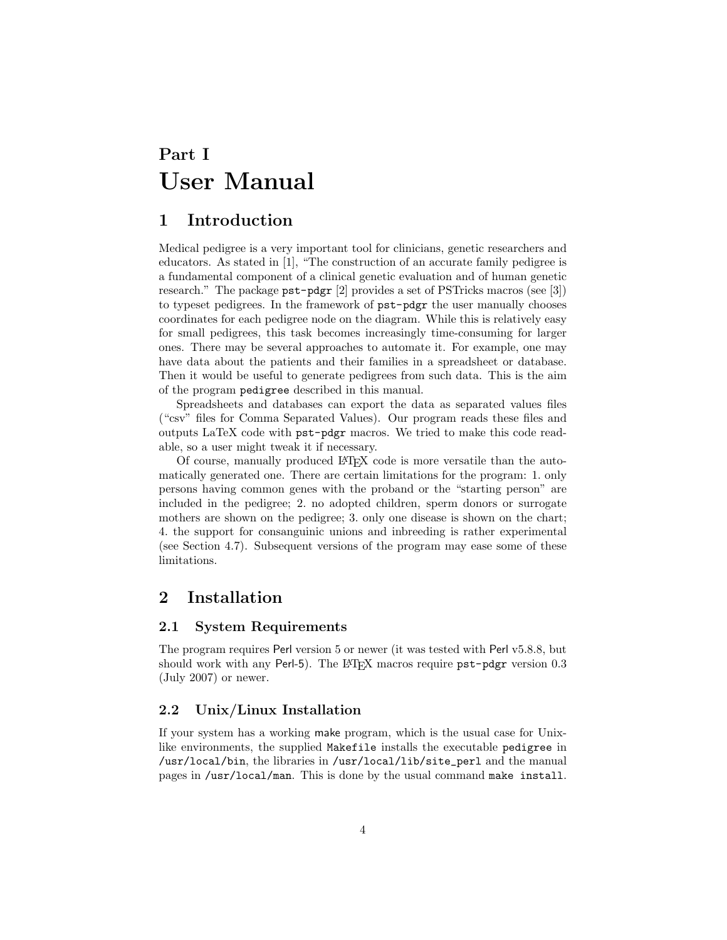# <span id="page-3-0"></span>Part I User Manual

## <span id="page-3-1"></span>1 Introduction

Medical pedigree is a very important tool for clinicians, genetic researchers and educators. As stated in [\[1\]](#page-31-1), "The construction of an accurate family pedigree is a fundamental component of a clinical genetic evaluation and of human genetic research." The package pst-pdgr [\[2\]](#page-31-2) provides a set of PSTricks macros (see [\[3\]](#page-31-3)) to typeset pedigrees. In the framework of pst-pdgr the user manually chooses coordinates for each pedigree node on the diagram. While this is relatively easy for small pedigrees, this task becomes increasingly time-consuming for larger ones. There may be several approaches to automate it. For example, one may have data about the patients and their families in a spreadsheet or database. Then it would be useful to generate pedigrees from such data. This is the aim of the program pedigree described in this manual.

Spreadsheets and databases can export the data as separated values files ("csv" files for Comma Separated Values). Our program reads these files and outputs LaTeX code with pst-pdgr macros. We tried to make this code readable, so a user might tweak it if necessary.

Of course, manually produced LAT<sub>EX</sub> code is more versatile than the automatically generated one. There are certain limitations for the program: 1. only persons having common genes with the proband or the "starting person" are included in the pedigree; 2. no adopted children, sperm donors or surrogate mothers are shown on the pedigree; 3. only one disease is shown on the chart; 4. the support for consanguinic unions and inbreeding is rather experimental (see Section [4.7\)](#page-25-0). Subsequent versions of the program may ease some of these limitations.

## <span id="page-3-3"></span><span id="page-3-2"></span>2 Installation

#### 2.1 System Requirements

The program requires Perl version 5 or newer (it was tested with Perl v5.8.8, but should work with any Perl-5). The LATEX macros require pst-pdgr version 0.3 (July 2007) or newer.

#### <span id="page-3-4"></span>2.2 Unix/Linux Installation

If your system has a working make program, which is the usual case for Unixlike environments, the supplied Makefile installs the executable pedigree in /usr/local/bin, the libraries in /usr/local/lib/site\_perl and the manual pages in /usr/local/man. This is done by the usual command make install.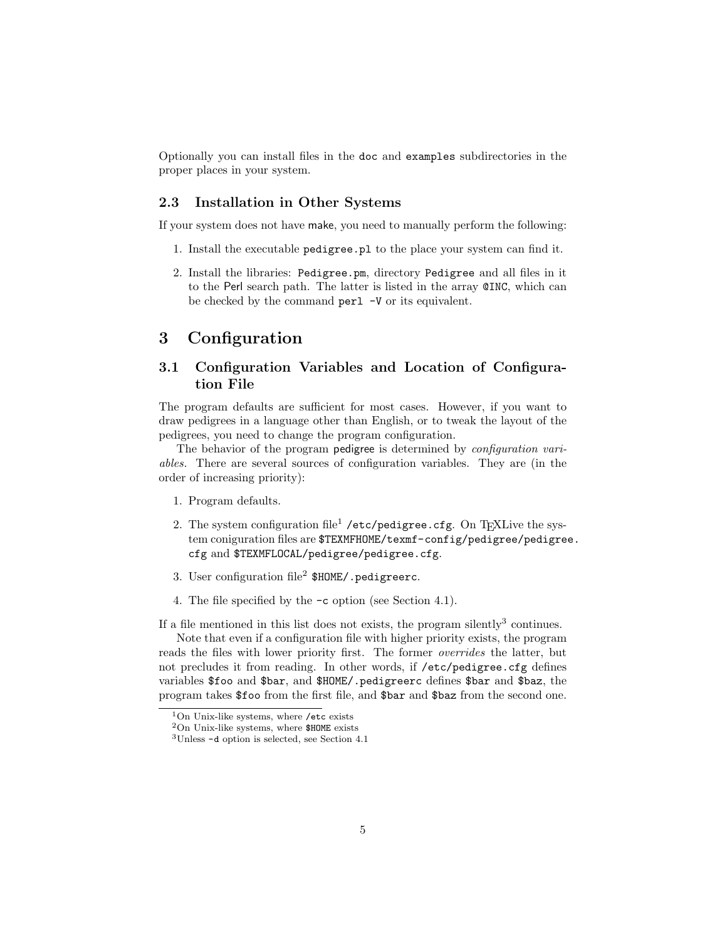Optionally you can install files in the doc and examples subdirectories in the proper places in your system.

#### <span id="page-4-0"></span>2.3 Installation in Other Systems

If your system does not have make, you need to manually perform the following:

- 1. Install the executable pedigree.pl to the place your system can find it.
- 2. Install the libraries: Pedigree.pm, directory Pedigree and all files in it to the Perl search path. The latter is listed in the array @INC, which can be checked by the command perl -V or its equivalent.

### <span id="page-4-1"></span>3 Configuration

### <span id="page-4-2"></span>3.1 Configuration Variables and Location of Configuration File

The program defaults are sufficient for most cases. However, if you want to draw pedigrees in a language other than English, or to tweak the layout of the pedigrees, you need to change the program configuration.

The behavior of the program pedigree is determined by *configuration vari*ables. There are several sources of configuration variables. They are (in the order of increasing priority):

- 1. Program defaults.
- 2. The system configuration file<sup>[1](#page-4-3)</sup> /etc/pedigree.cfg. On T<sub>E</sub>XLive the system coniguration files are  $TEXMFHOME/texmf-contig/pedigree/pedigree$ . cfg and \$TEXMFLOCAL/pedigree/pedigree.cfg.
- 3. User configuration file<sup>[2](#page-4-4)</sup>  $$HOME/$ . pedigreerc.
- 4. The file specified by the -c option (see Section [4.1\)](#page-9-1).

If a file mentioned in this list does not exists, the program silently<sup>[3](#page-4-5)</sup> continues.

Note that even if a configuration file with higher priority exists, the program reads the files with lower priority first. The former overrides the latter, but not precludes it from reading. In other words, if /etc/pedigree.cfg defines variables \$foo and \$bar, and \$HOME/.pedigreerc defines \$bar and \$baz, the program takes \$foo from the first file, and \$bar and \$baz from the second one.

<sup>1</sup>On Unix-like systems, where /etc exists

<span id="page-4-3"></span> $2$ On Unix-like systems, where \$HOME exists

<span id="page-4-5"></span><span id="page-4-4"></span><sup>3</sup>Unless -d option is selected, see Section [4.1](#page-9-1)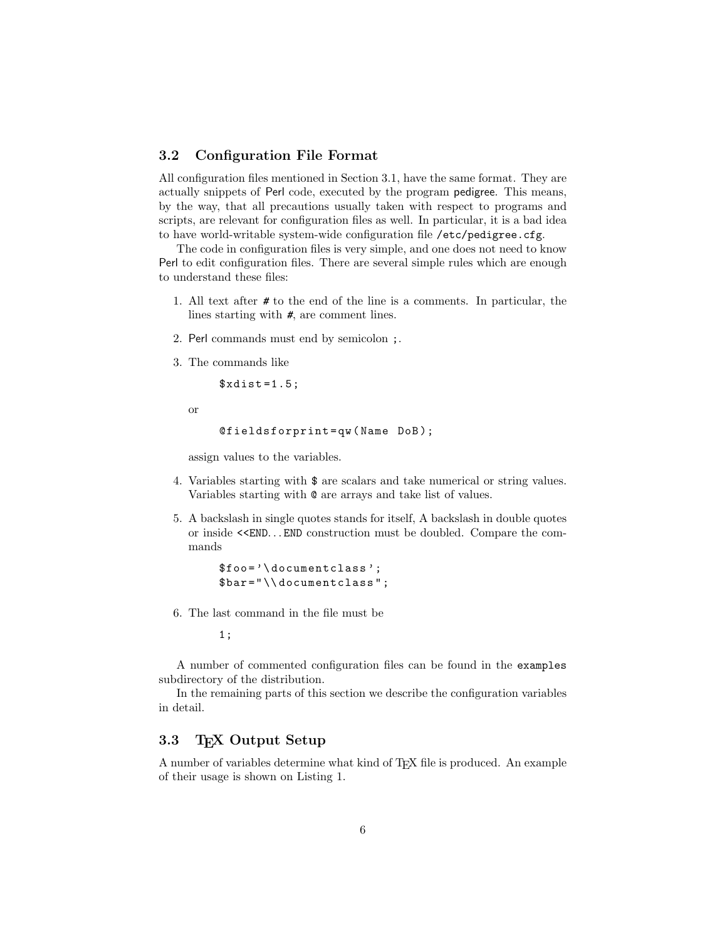#### <span id="page-5-0"></span>3.2 Configuration File Format

All configuration files mentioned in Section [3.1,](#page-4-2) have the same format. They are actually snippets of Perl code, executed by the program pedigree. This means, by the way, that all precautions usually taken with respect to programs and scripts, are relevant for configuration files as well. In particular, it is a bad idea to have world-writable system-wide configuration file /etc/pedigree.cfg.

The code in configuration files is very simple, and one does not need to know Perl to edit configuration files. There are several simple rules which are enough to understand these files:

- 1. All text after # to the end of the line is a comments. In particular, the lines starting with #, are comment lines.
- 2. Perl commands must end by semicolon ;.
- 3. The commands like

 $$xdist = 1.5;$ 

or

```
@fieldsforprint = qw ( Name DoB );
```
assign values to the variables.

- 4. Variables starting with \$ are scalars and take numerical or string values. Variables starting with @ are arrays and take list of values.
- 5. A backslash in single quotes stands for itself, A backslash in double quotes or inside <<END. . . END construction must be doubled. Compare the commands

```
$foo = '\ documentclass ';
$bar =" \\ documentclass " ;
```
6. The last command in the file must be

1;

A number of commented configuration files can be found in the examples subdirectory of the distribution.

In the remaining parts of this section we describe the configuration variables in detail.

### <span id="page-5-1"></span>3.3 T<sub>F</sub>X Output Setup

A number of variables determine what kind of TEX file is produced. An example of their usage is shown on Listing [1.](#page-6-1)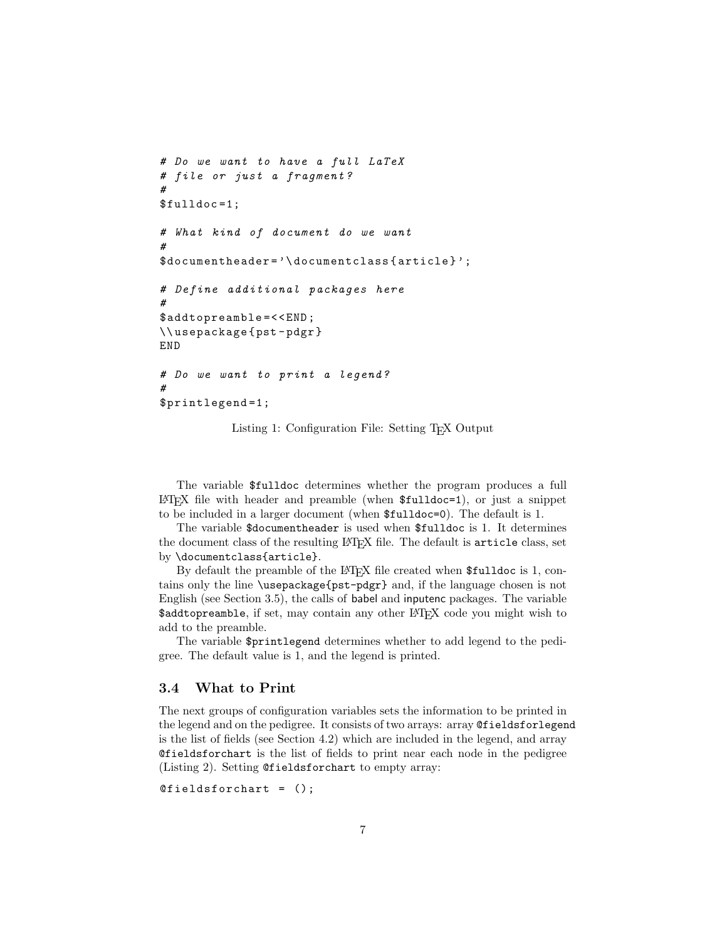```
# Do we want to have a full LaTeX
# file or just a fragment ?
#
$fulldoc =1;# What kind of document do we want
#
$documentheader = '\ documentclass { article } ';
# Define additional packages here
#
$addtopreamble =<< END ;
\\ usepackage { pst - pdgr }
END
# Do we want to print a legend ?
#
$printlegend =1;
```
Listing 1: Configuration File: Setting T<sub>E</sub>X Output

The variable \$fulldoc determines whether the program produces a full  $\Delta F$ <sub>EX</sub> file with header and preamble (when  $\text{\$fulldoc=1}$ ), or just a snippet to be included in a larger document (when \$fulldoc=0). The default is 1.

The variable \$documentheader is used when \$fulldoc is 1. It determines the document class of the resulting LATEX file. The default is article class, set by \documentclass{article}.

By default the preamble of the LAT<sub>EX</sub> file created when \$fulldoc is 1, contains only the line \usepackage{pst-pdgr} and, if the language chosen is not English (see Section [3.5\)](#page-7-0), the calls of babel and inputenc packages. The variable \$addtopreamble, if set, may contain any other LATFX code you might wish to add to the preamble.

The variable \$printlegend determines whether to add legend to the pedigree. The default value is 1, and the legend is printed.

#### <span id="page-6-0"></span>3.4 What to Print

The next groups of configuration variables sets the information to be printed in the legend and on the pedigree. It consists of two arrays: array @fieldsforlegend is the list of fields (see Section [4.2\)](#page-10-0) which are included in the legend, and array @fieldsforchart is the list of fields to print near each node in the pedigree (Listing [2\)](#page-7-2). Setting @fieldsforchart to empty array:

```
@fieldsforchart = ();
```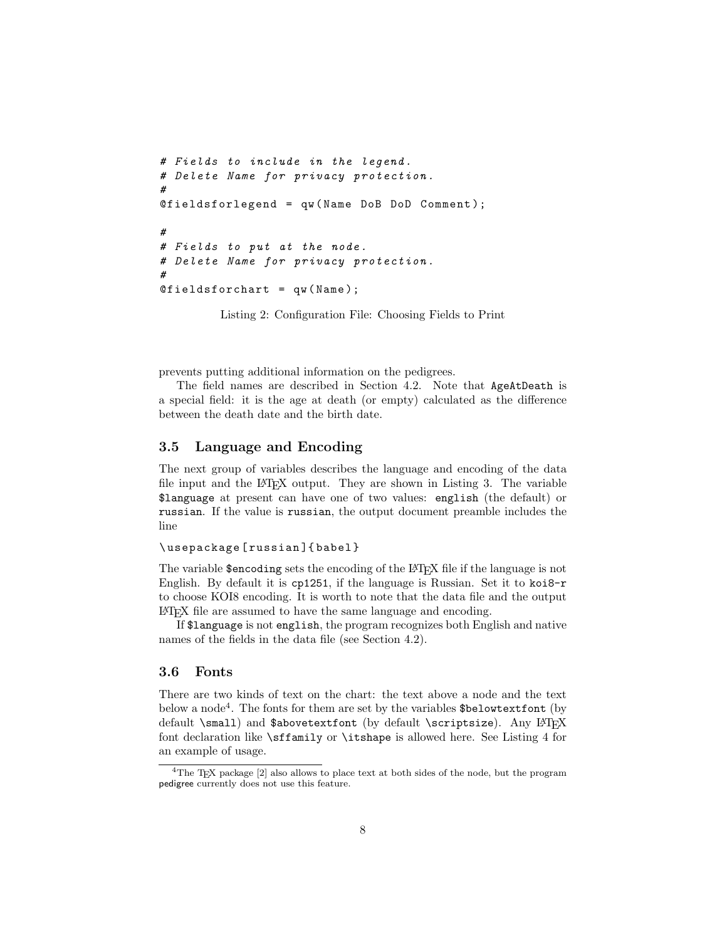```
# Fields to include in the legend .
# Delete Name for privacy protection .
#
\mathcal{Q}fieldsforlegend = qw (Name DoB DoD Comment);
#
# Fields to put at the node .
# Delete Name for privacy protection .
#
@fieldsforchart = qw(Name);
```
Listing 2: Configuration File: Choosing Fields to Print

prevents putting additional information on the pedigrees.

The field names are described in Section [4.2.](#page-10-0) Note that AgeAtDeath is a special field: it is the age at death (or empty) calculated as the difference between the death date and the birth date.

#### <span id="page-7-0"></span>3.5 Language and Encoding

The next group of variables describes the language and encoding of the data file input and the L<sup>AT</sup>EX output. They are shown in Listing [3.](#page-8-2) The variable \$language at present can have one of two values: english (the default) or russian. If the value is russian, the output document preamble includes the line

#### \ usepackage [ russian ]{ babel }

The variable \$encoding sets the encoding of the LAT<sub>EX</sub> file if the language is not English. By default it is cp1251, if the language is Russian. Set it to koi8-r to choose KOI8 encoding. It is worth to note that the data file and the output LATEX file are assumed to have the same language and encoding.

If \$language is not english, the program recognizes both English and native names of the fields in the data file (see Section [4.2\)](#page-10-0).

#### <span id="page-7-1"></span>3.6 Fonts

There are two kinds of text on the chart: the text above a node and the text below a node<sup>[4](#page-7-3)</sup>. The fonts for them are set by the variables  $\delta$ belowtextfont (by default \small) and \$abovetextfont (by default \scriptsize). Any LATEX font declaration like \sffamily or \itshape is allowed here. See Listing [4](#page-8-3) for an example of usage.

<span id="page-7-3"></span> ${}^{4}\mathrm{The}$  T<sub>E</sub>X package [\[2\]](#page-31-2) also allows to place text at both sides of the node, but the program pedigree currently does not use this feature.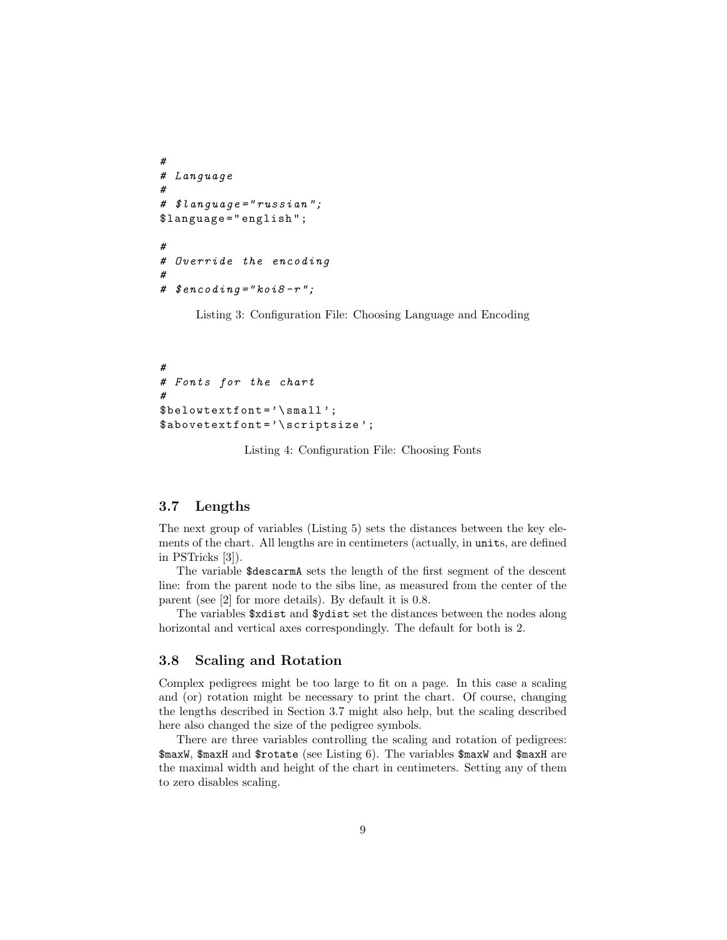```
#
# Language
#
# $language =" russian ";
$language =" english " ;
#
# Override the encoding
#
# $encoding="kois8-r";
```
Listing 3: Configuration File: Choosing Language and Encoding

<span id="page-8-3"></span># # Fonts for the chart #  $$belowtextfont='\\small':$ \$abovetextfont = '\ scriptsize ';

Listing 4: Configuration File: Choosing Fonts

#### <span id="page-8-0"></span>3.7 Lengths

The next group of variables (Listing [5\)](#page-9-2) sets the distances between the key elements of the chart. All lengths are in centimeters (actually, in units, are defined in PSTricks [\[3\]](#page-31-3)).

The variable \$descarmA sets the length of the first segment of the descent line: from the parent node to the sibs line, as measured from the center of the parent (see [\[2\]](#page-31-2) for more details). By default it is 0.8.

The variables \$xdist and \$ydist set the distances between the nodes along horizontal and vertical axes correspondingly. The default for both is 2.

#### <span id="page-8-1"></span>3.8 Scaling and Rotation

Complex pedigrees might be too large to fit on a page. In this case a scaling and (or) rotation might be necessary to print the chart. Of course, changing the lengths described in Section [3.7](#page-8-0) might also help, but the scaling described here also changed the size of the pedigree symbols.

There are three variables controlling the scaling and rotation of pedigrees: \$maxW, \$maxH and \$rotate (see Listing [6\)](#page-10-1). The variables \$maxW and \$maxH are the maximal width and height of the chart in centimeters. Setting any of them to zero disables scaling.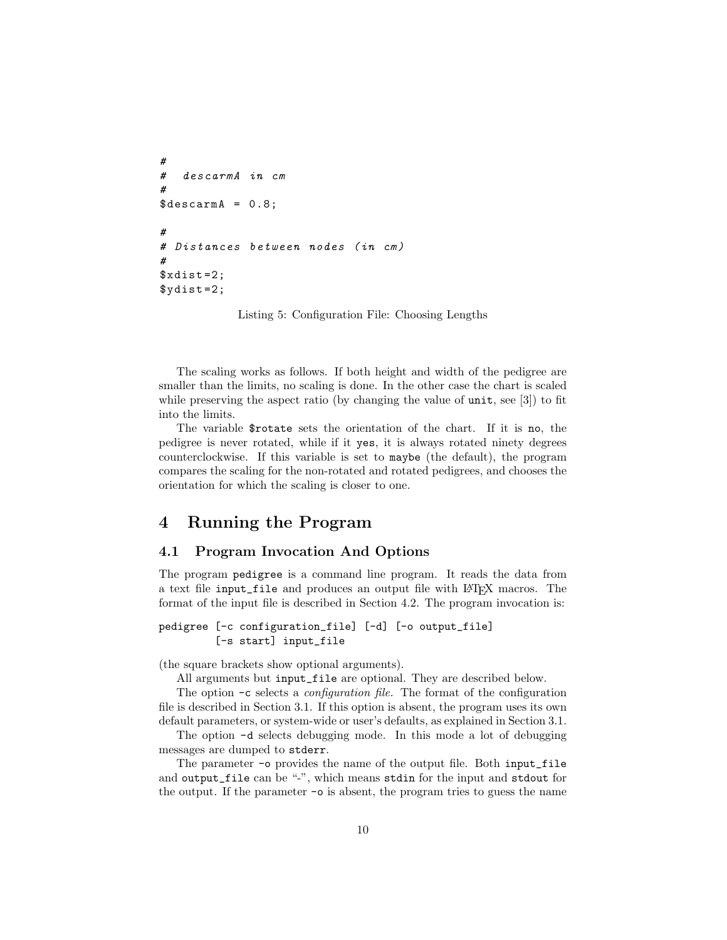```
#
# descarmA in cm
#
\texttt{\$descamA = 0.8};#
# Distances between nodes (in cm)
#
$xdist = 2;\text{$y\text{dist}=2$};
```
Listing 5: Configuration File: Choosing Lengths

The scaling works as follows. If both height and width of the pedigree are smaller than the limits, no scaling is done. In the other case the chart is scaled while preserving the aspect ratio (by changing the value of unit, see [\[3\]](#page-31-3)) to fit into the limits.

The variable \$rotate sets the orientation of the chart. If it is no, the pedigree is never rotated, while if it yes, it is always rotated ninety degrees counterclockwise. If this variable is set to maybe (the default), the program compares the scaling for the non-rotated and rotated pedigrees, and chooses the orientation for which the scaling is closer to one.

### <span id="page-9-0"></span>4 Running the Program

#### <span id="page-9-1"></span>4.1 Program Invocation And Options

The program pedigree is a command line program. It reads the data from a text file input\_file and produces an output file with LAT<sub>EX</sub> macros. The format of the input file is described in Section [4.2.](#page-10-0) The program invocation is:

pedigree [-c configuration\_file] [-d] [-o output\_file] [-s start] input\_file

(the square brackets show optional arguments).

All arguments but input\_file are optional. They are described below.

The option -c selects a configuration file. The format of the configuration file is described in Section [3.1.](#page-4-2) If this option is absent, the program uses its own default parameters, or system-wide or user's defaults, as explained in Section [3.1.](#page-4-2)

The option -d selects debugging mode. In this mode a lot of debugging messages are dumped to stderr.

The parameter -o provides the name of the output file. Both input\_file and output\_file can be "-", which means stdin for the input and stdout for the output. If the parameter -o is absent, the program tries to guess the name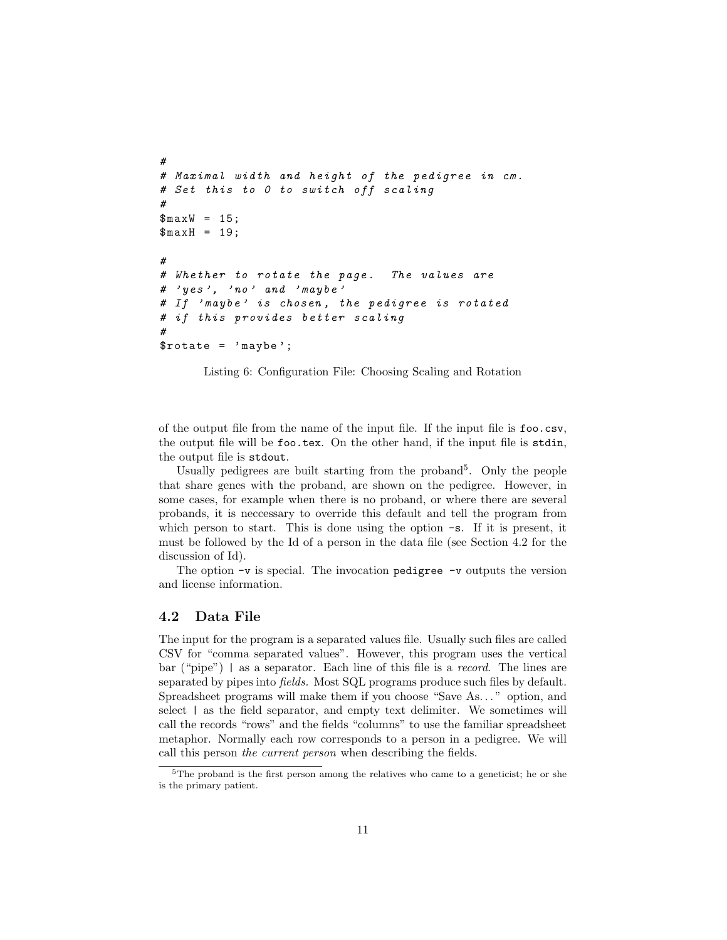```
#
# Maximal width and height of the pedigree in cm.
# Set this to 0 to switch off scaling
#
$maxW = 15;$maxH = 19;#
# Whether to rotate the page. The values are
# ' yes ', 'no ' and ' maybe '
# If 'maybe' is chosen, the pedigree is rotated
# if this provides better scaling
#
$rotate = ' maybe ';
```
Listing 6: Configuration File: Choosing Scaling and Rotation

of the output file from the name of the input file. If the input file is foo.csv, the output file will be foo.tex. On the other hand, if the input file is stdin, the output file is stdout.

Usually pedigrees are built starting from the proband<sup>[5](#page-10-2)</sup>. Only the people that share genes with the proband, are shown on the pedigree. However, in some cases, for example when there is no proband, or where there are several probands, it is neccessary to override this default and tell the program from which person to start. This is done using the option  $-\mathbf{s}$ . If it is present, it must be followed by the Id of a person in the data file (see Section [4.2](#page-10-0) for the discussion of Id).

The option  $-v$  is special. The invocation pedigree  $-v$  outputs the version and license information.

#### <span id="page-10-0"></span>4.2 Data File

The input for the program is a separated values file. Usually such files are called CSV for "comma separated values". However, this program uses the vertical bar ("pipe") | as a separator. Each line of this file is a record. The lines are separated by pipes into fields. Most SQL programs produce such files by default. Spreadsheet programs will make them if you choose "Save As. . . " option, and select  $\vert$  as the field separator, and empty text delimiter. We sometimes will call the records "rows" and the fields "columns" to use the familiar spreadsheet metaphor. Normally each row corresponds to a person in a pedigree. We will call this person the current person when describing the fields.

<span id="page-10-2"></span> $5$ The proband is the first person among the relatives who came to a geneticist; he or she is the primary patient.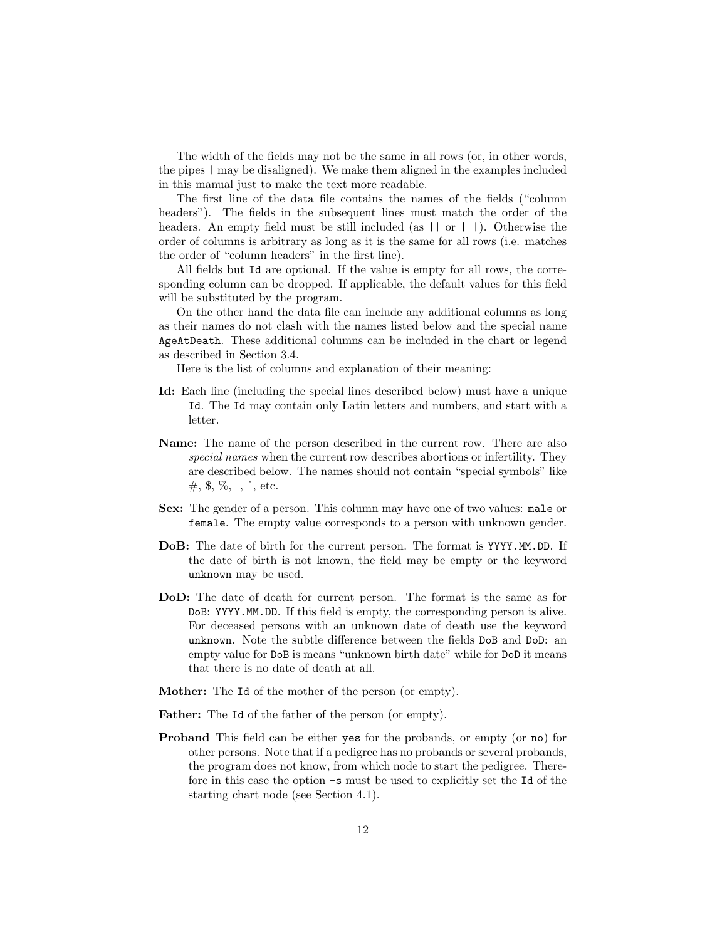The width of the fields may not be the same in all rows (or, in other words, the pipes | may be disaligned). We make them aligned in the examples included in this manual just to make the text more readable.

The first line of the data file contains the names of the fields ("column headers"). The fields in the subsequent lines must match the order of the headers. An empty field must be still included (as  $|| \text{ or } ||$ ). Otherwise the order of columns is arbitrary as long as it is the same for all rows (i.e. matches the order of "column headers" in the first line).

All fields but Id are optional. If the value is empty for all rows, the corresponding column can be dropped. If applicable, the default values for this field will be substituted by the program.

On the other hand the data file can include any additional columns as long as their names do not clash with the names listed below and the special name AgeAtDeath. These additional columns can be included in the chart or legend as described in Section [3.4.](#page-6-0)

Here is the list of columns and explanation of their meaning:

- Id: Each line (including the special lines described below) must have a unique Id. The Id may contain only Latin letters and numbers, and start with a letter.
- Name: The name of the person described in the current row. There are also special names when the current row describes abortions or infertility. They are described below. The names should not contain "special symbols" like  $\#$ , \$, %, .,  $\hat{ }$ , etc.
- Sex: The gender of a person. This column may have one of two values: male or female. The empty value corresponds to a person with unknown gender.
- DoB: The date of birth for the current person. The format is YYYY.MM.DD. If the date of birth is not known, the field may be empty or the keyword unknown may be used.
- DoD: The date of death for current person. The format is the same as for DoB: YYYY.MM.DD. If this field is empty, the corresponding person is alive. For deceased persons with an unknown date of death use the keyword unknown. Note the subtle difference between the fields DoB and DoD: an empty value for DoB is means "unknown birth date" while for DoD it means that there is no date of death at all.
- Mother: The Id of the mother of the person (or empty).
- Father: The Id of the father of the person (or empty).
- Proband This field can be either yes for the probands, or empty (or no) for other persons. Note that if a pedigree has no probands or several probands, the program does not know, from which node to start the pedigree. Therefore in this case the option -s must be used to explicitly set the Id of the starting chart node (see Section [4.1\)](#page-9-1).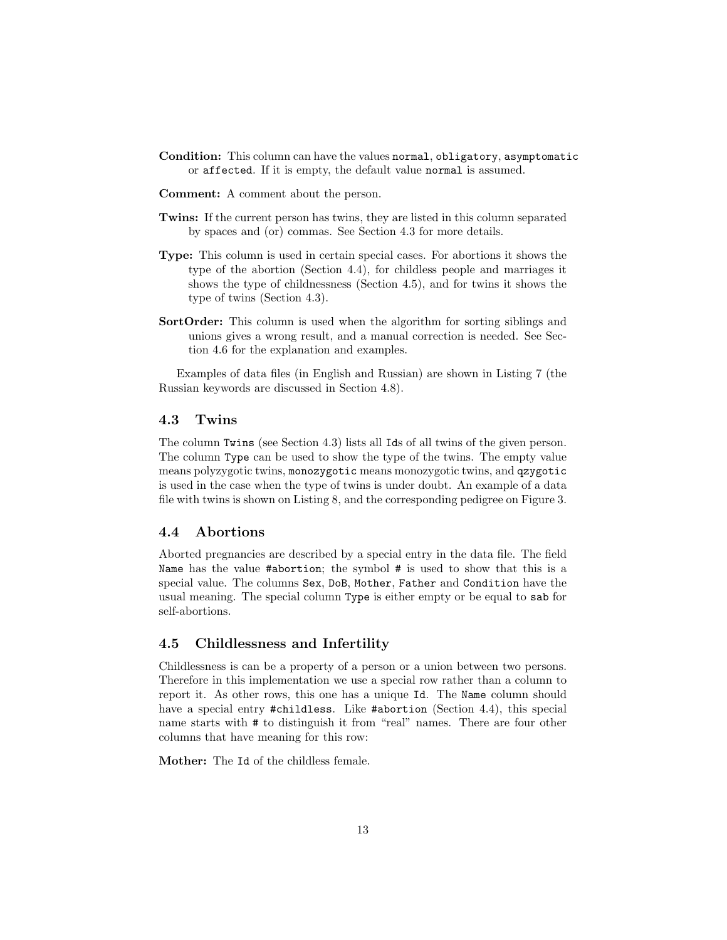- Condition: This column can have the values normal, obligatory, asymptomatic or affected. If it is empty, the default value normal is assumed.
- Comment: A comment about the person.
- Twins: If the current person has twins, they are listed in this column separated by spaces and (or) commas. See Section [4.3](#page-12-0) for more details.
- Type: This column is used in certain special cases. For abortions it shows the type of the abortion (Section [4.4\)](#page-12-1), for childless people and marriages it shows the type of childnessness (Section [4.5\)](#page-12-2), and for twins it shows the type of twins (Section [4.3\)](#page-12-0).
- SortOrder: This column is used when the algorithm for sorting siblings and unions gives a wrong result, and a manual correction is needed. See Section [4.6](#page-18-0) for the explanation and examples.

Examples of data files (in English and Russian) are shown in Listing [7](#page-13-0) (the Russian keywords are discussed in Section [4.8\)](#page-25-1).

#### <span id="page-12-0"></span>4.3 Twins

The column Twins (see Section [4.3\)](#page-12-0) lists all Ids of all twins of the given person. The column Type can be used to show the type of the twins. The empty value means polyzygotic twins, monozygotic means monozygotic twins, and qzygotic is used in the case when the type of twins is under doubt. An example of a data file with twins is shown on Listing [8,](#page-16-0) and the corresponding pedigree on Figure [3.](#page-16-1)

#### <span id="page-12-1"></span>4.4 Abortions

Aborted pregnancies are described by a special entry in the data file. The field Name has the value #abortion; the symbol # is used to show that this is a special value. The columns Sex, DoB, Mother, Father and Condition have the usual meaning. The special column Type is either empty or be equal to sab for self-abortions.

#### <span id="page-12-2"></span>4.5 Childlessness and Infertility

Childlessness is can be a property of a person or a union between two persons. Therefore in this implementation we use a special row rather than a column to report it. As other rows, this one has a unique Id. The Name column should have a special entry #childless. Like #abortion (Section [4.4\)](#page-12-1), this special name starts with # to distinguish it from "real" names. There are four other columns that have meaning for this row:

Mother: The Id of the childless female.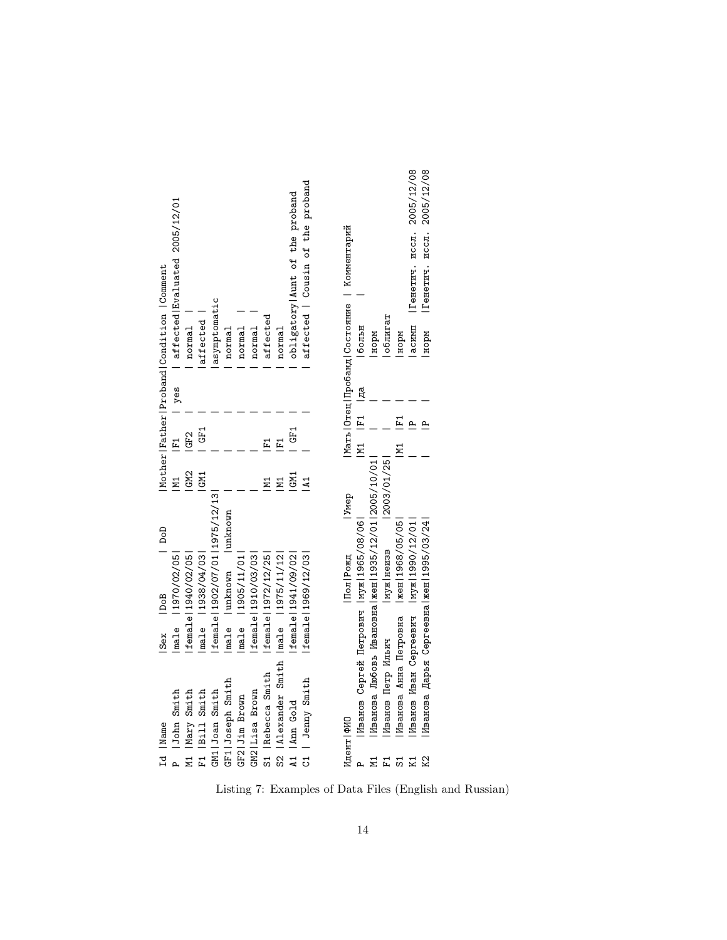<span id="page-13-0"></span>

|                                                 |                               |                     |                   |                                  |                          |                   |                     |                     |                                          |                                |                                  | Комментарий                       |                                           |                                                       |                   |                                          |                                          | Генетич. иссл. 2005/12/08              |
|-------------------------------------------------|-------------------------------|---------------------|-------------------|----------------------------------|--------------------------|-------------------|---------------------|---------------------|------------------------------------------|--------------------------------|----------------------------------|-----------------------------------|-------------------------------------------|-------------------------------------------------------|-------------------|------------------------------------------|------------------------------------------|----------------------------------------|
|                                                 | affected Evaluated 2005/12/01 |                     |                   |                                  |                          |                   |                     |                     |                                          | obligatory Aunt of the proband | affected   Cousin of the proband |                                   |                                           |                                                       |                   |                                          | асимп   Генетич. иссл. 2005/12/08        |                                        |
| Mother   Father   Proband   Condition   Comment |                               | normal              | affected          | asymptomatic                     | normal                   | normal            | normal              | affected            | normal                                   |                                |                                  | Мать   Отец   Пробанд   Состояние | больн                                     | норм                                                  | облигат           | HOPM                                     |                                          |                                        |
|                                                 | l yes                         |                     |                   |                                  |                          |                   |                     |                     |                                          |                                |                                  |                                   | Iд<br>Ц                                   |                                                       |                   |                                          |                                          |                                        |
|                                                 | $F_1$                         | GF <sub>2</sub>     | GF1               |                                  |                          |                   |                     | $F_1$               | $F_1$                                    | GF1                            |                                  |                                   | M1  F1                                    |                                                       |                   | $F_1$<br>M1                              |                                          |                                        |
|                                                 | N1                            | GM <sub>2</sub>     | GM1               |                                  |                          |                   |                     |                     |                                          | LGM1                           | $\overline{A}$                   |                                   |                                           |                                                       | 2003/01/25        |                                          |                                          |                                        |
| DoD                                             |                               |                     |                   |                                  |                          |                   |                     |                     |                                          |                                |                                  | <b>J</b> V <sub>nep</sub>         |                                           |                                                       |                   |                                          |                                          |                                        |
|                                                 | male   1970/02/05             | female   1940/02/05 | male   1938/04/03 | female   1902/07/01   1975/12/13 | male   unknown   unknown | male   1905/11/01 | female   1910/03/03 | female   1972/12/25 |                                          | female 1941/09/02              | female   1969/12/03              | Пол Рожд                          |                                           |                                                       | иуж неизв         |                                          |                                          |                                        |
| Sex   DoB                                       |                               |                     |                   |                                  |                          |                   |                     |                     |                                          |                                |                                  |                                   |                                           |                                                       |                   |                                          |                                          |                                        |
|                                                 |                               |                     |                   |                                  |                          |                   |                     |                     |                                          |                                |                                  |                                   |                                           |                                                       |                   |                                          |                                          |                                        |
|                                                 | P lJohn Smith                 | M1   Mary Smith     | F1   Bill Smith   | GM1 Joan Smith                   | GF1 Joseph Smith         | GF2 Jim Brown     | GM2   Lisa Brown    | S1   Rebecca Smith  | S2   Alexander Smith   male   1975/11/12 | A1   Ann Gold                  | C1   Jenny Smith                 | Идент ФИО                         | Иванов Сергей Петрович   муж   1965/08/06 | Иванова Любовь Ивановна  жен  1935/12/01   2005/10/01 | Иванов Петр Ильич | Иванова Анна Петровна   жен   1968/05/05 | Иванов Иван Сергеевич   муж   1990/12/01 | Иванова Дарья Сергеевна жен 1995/03/24 |
| Id Name                                         |                               |                     |                   |                                  |                          |                   |                     |                     |                                          |                                |                                  |                                   |                                           | N1                                                    | 됴                 | 51                                       | K1                                       | K2                                     |

Listing 7: Examples of Data Files (English and Russian)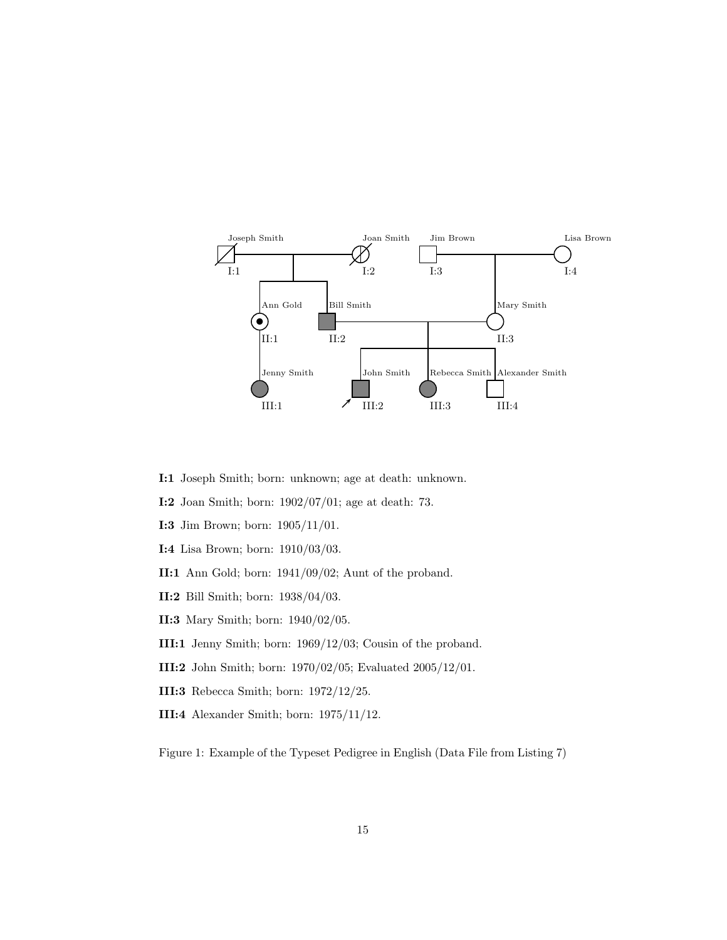

- I:1 Joseph Smith; born: unknown; age at death: unknown.
- I:2 Joan Smith; born: 1902/07/01; age at death: 73.
- I:3 Jim Brown; born: 1905/11/01.
- I:4 Lisa Brown; born: 1910/03/03.
- II:1 Ann Gold; born: 1941/09/02; Aunt of the proband.
- II:2 Bill Smith; born: 1938/04/03.
- II:3 Mary Smith; born: 1940/02/05.
- III:1 Jenny Smith; born: 1969/12/03; Cousin of the proband.
- III:2 John Smith; born: 1970/02/05; Evaluated 2005/12/01.
- III:3 Rebecca Smith; born: 1972/12/25.
- III:4 Alexander Smith; born: 1975/11/12.

<span id="page-14-0"></span>Figure 1: Example of the Typeset Pedigree in English (Data File from Listing [7\)](#page-13-0)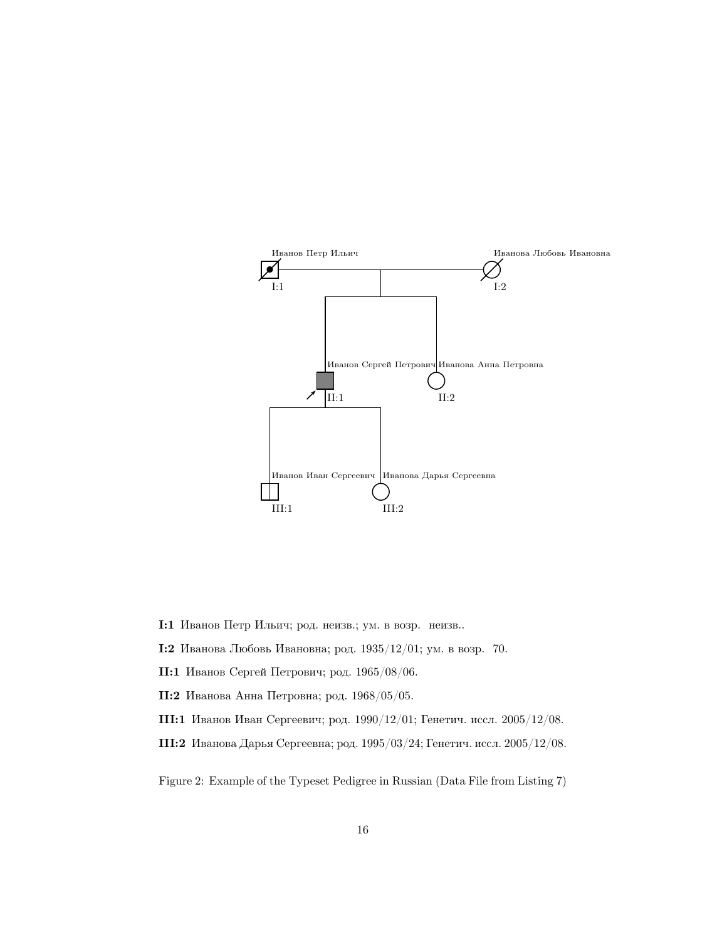

I:1 Иванов Петр Ильич; род. неизв.; ум. в возр. неизв..

I:2 Иванова Любовь Ивановна; род. 1935/12/01; ум. в возр. 70.

II:1 Иванов Сергей Петрович; род. 1965/08/06.

II:2 Иванова Анна Петровна; род. 1968/05/05.

III:1 Иванов Иван Сергеевич; род. 1990/12/01; Генетич. иссл. 2005/12/08.

III:2 Иванова Дарья Сергеевна; род. 1995/03/24; Генетич. иссл. 2005/12/08.

<span id="page-15-0"></span>Figure 2: Example of the Typeset Pedigree in Russian (Data File from Listing [7\)](#page-13-0)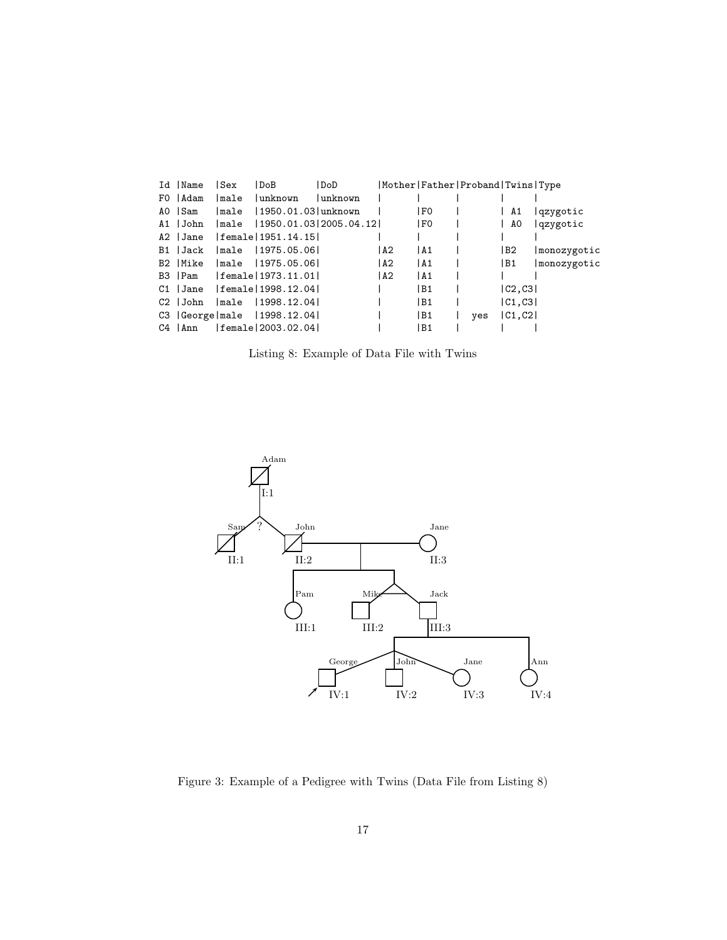<span id="page-16-0"></span>

| Id   Name | Sex                             | DoB      | DoD                            |       |                | Mother   Father   Proband   Twins   Type |                 |             |
|-----------|---------------------------------|----------|--------------------------------|-------|----------------|------------------------------------------|-----------------|-------------|
| FO   Adam | Imale                           | lunknown | lunknown                       |       |                |                                          |                 |             |
| AO ISam   | lmale                           |          | 1950.01.03 unknown             |       | l FO           |                                          | A1              | lqzygotic   |
| A1  John  |                                 |          | male   1950.01.03   2005.04.12 |       | l F0           |                                          | AO              | qzygotic    |
| A2 Jane   | female 1951.14.15               |          |                                |       |                |                                          |                 |             |
| B1   Jack | male   1975.05.06               |          |                                | l A2  | I A 1          |                                          | IB <sub>2</sub> | monozygotic |
| B2   Mike | Imale 11975.05.061              |          |                                | IA2   | IA1            |                                          | B1              | monozygotic |
| B3   Pam  | female 1973.11.01               |          |                                | 1 A 2 | IA1            |                                          |                 |             |
|           | $C1$  Jane  female 1998.12.04   |          |                                |       | l B1           |                                          | C2,C3           |             |
| C2 John   | male   1998.12.04               |          |                                |       | l B1           |                                          | C1,C3           |             |
|           | C3   George   male   1998.12.04 |          |                                |       | B <sub>1</sub> | ves                                      | C1, C2          |             |
| C4   Ann  | female 2003.02.04               |          |                                |       | B1             |                                          |                 |             |

Listing 8: Example of Data File with Twins



<span id="page-16-1"></span>Figure 3: Example of a Pedigree with Twins (Data File from Listing [8\)](#page-16-0)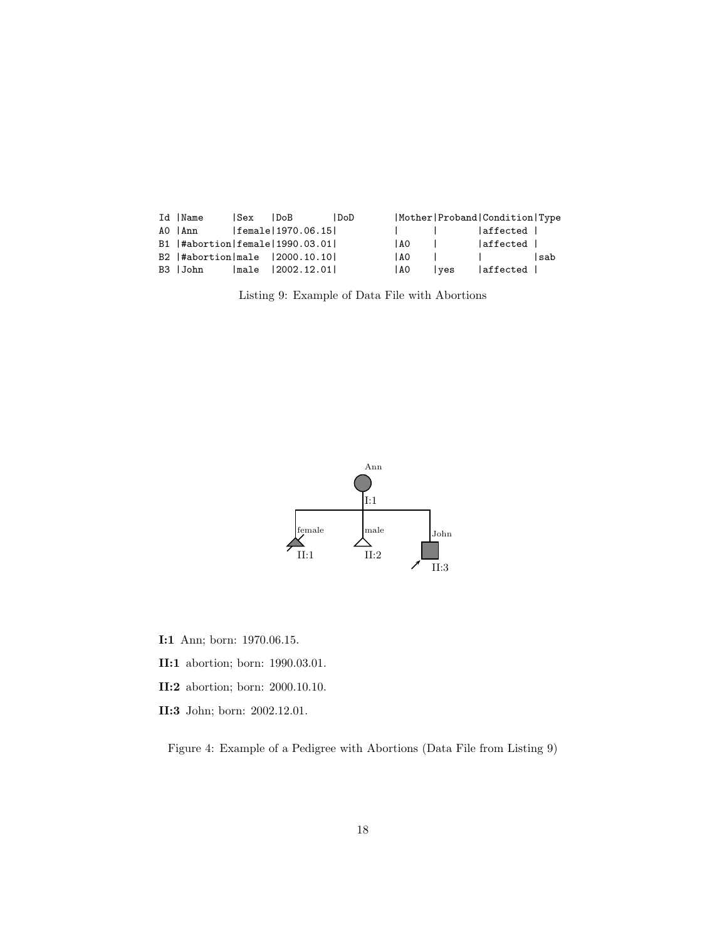<span id="page-17-0"></span>

| Id  Name                        | l Sex               | l DoB             | DoD |       |               | Mother Proband Condition Type |      |
|---------------------------------|---------------------|-------------------|-----|-------|---------------|-------------------------------|------|
| AO lAnn                         |                     | female 1970.06.15 |     |       | and the state | laffected                     |      |
| B1  #abortion female 1990.03.01 |                     |                   |     | 1 A O |               | affected                      |      |
| B2  #abortion male  2000.10.10  |                     |                   |     | I A O |               |                               | lsab |
| B3  John                        | $ _{\texttt{male}}$ | 12002.12.01       |     | 1 A O | <i>ves</i>    | affected                      |      |

Listing 9: Example of Data File with Abortions



- I:1 Ann; born: 1970.06.15.
- II:1 abortion; born: 1990.03.01.
- II:2 abortion; born: 2000.10.10.
- II:3 John; born: 2002.12.01.

<span id="page-17-1"></span>Figure 4: Example of a Pedigree with Abortions (Data File from Listing [9\)](#page-17-0)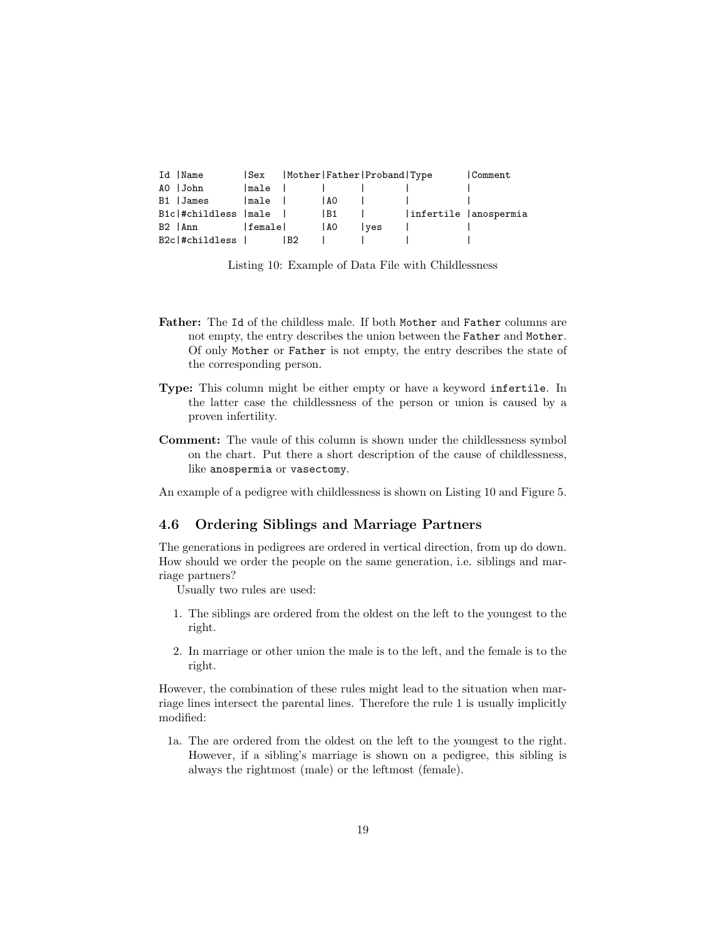<span id="page-18-1"></span>

| Id  Name              | ISex     |      |       | Mother Father Proband Type | <b>Comment</b>         |
|-----------------------|----------|------|-------|----------------------------|------------------------|
| AO   John             | lmale    |      |       |                            |                        |
| B1  James             | male     |      | I AO  |                            |                        |
| Bic #childless   male |          |      | B1    |                            | infertile   anospermia |
| B2 lAnn               | lfemalel |      | 1 A O | lves                       |                        |
| B2c #childless        |          | l B2 |       |                            |                        |

Listing 10: Example of Data File with Childlessness

- Father: The Id of the childless male. If both Mother and Father columns are not empty, the entry describes the union between the Father and Mother. Of only Mother or Father is not empty, the entry describes the state of the corresponding person.
- Type: This column might be either empty or have a keyword infertile. In the latter case the childlessness of the person or union is caused by a proven infertility.
- Comment: The vaule of this column is shown under the childlessness symbol on the chart. Put there a short description of the cause of childlessness, like anospermia or vasectomy.

An example of a pedigree with childlessness is shown on Listing [10](#page-18-1) and Figure [5.](#page-19-0)

#### <span id="page-18-0"></span>4.6 Ordering Siblings and Marriage Partners

The generations in pedigrees are ordered in vertical direction, from up do down. How should we order the people on the same generation, i.e. siblings and marriage partners?

<span id="page-18-2"></span>Usually two rules are used:

- 1. The siblings are ordered from the oldest on the left to the youngest to the right.
- 2. In marriage or other union the male is to the left, and the female is to the right.

However, the combination of these rules might lead to the situation when marriage lines intersect the parental lines. Therefore the rule [1](#page-18-2) is usually implicitly modified:

[1a](#page-18-2). The are ordered from the oldest on the left to the youngest to the right. However, if a sibling's marriage is shown on a pedigree, this sibling is always the rightmost (male) or the leftmost (female).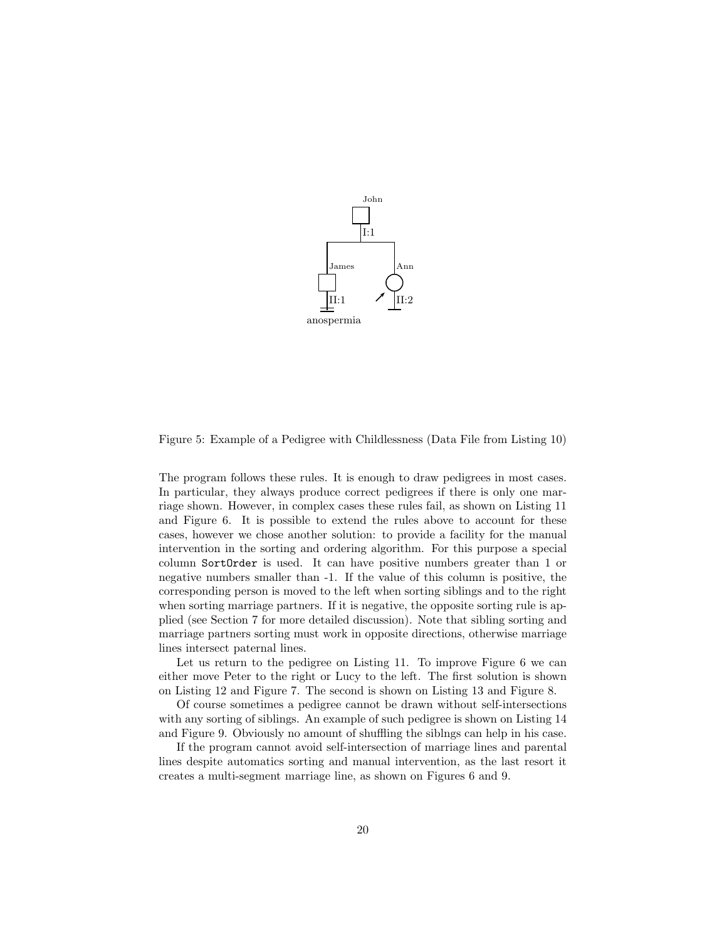

<span id="page-19-0"></span>Figure 5: Example of a Pedigree with Childlessness (Data File from Listing [10\)](#page-18-1)

The program follows these rules. It is enough to draw pedigrees in most cases. In particular, they always produce correct pedigrees if there is only one marriage shown. However, in complex cases these rules fail, as shown on Listing [11](#page-20-1) and Figure [6.](#page-21-0) It is possible to extend the rules above to account for these cases, however we chose another solution: to provide a facility for the manual intervention in the sorting and ordering algorithm. For this purpose a special column SortOrder is used. It can have positive numbers greater than 1 or negative numbers smaller than -1. If the value of this column is positive, the corresponding person is moved to the left when sorting siblings and to the right when sorting marriage partners. If it is negative, the opposite sorting rule is applied (see Section [7](#page-29-0) for more detailed discussion). Note that sibling sorting and marriage partners sorting must work in opposite directions, otherwise marriage lines intersect paternal lines.

Let us return to the pedigree on Listing [11.](#page-20-1) To improve Figure [6](#page-21-0) we can either move Peter to the right or Lucy to the left. The first solution is shown on Listing [12](#page-20-0) and Figure [7.](#page-22-0) The second is shown on Listing [13](#page-22-1) and Figure [8.](#page-23-0)

Of course sometimes a pedigree cannot be drawn without self-intersections with any sorting of siblings. An example of such pedigree is shown on Listing [14](#page-23-1) and Figure [9.](#page-24-0) Obviously no amount of shuffling the siblngs can help in his case.

If the program cannot avoid self-intersection of marriage lines and parental lines despite automatics sorting and manual intervention, as the last resort it creates a multi-segment marriage line, as shown on Figures [6](#page-21-0) and [9.](#page-24-0)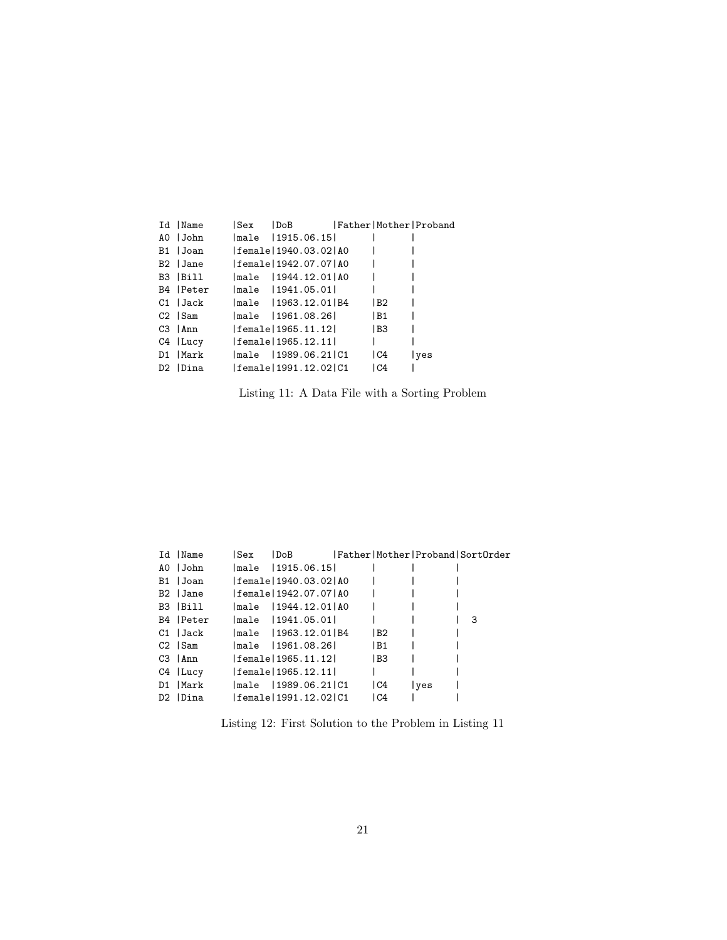<span id="page-20-1"></span>

| Id  Name   | Sex | $\mathsf{IDoB}$          |      | Father Mother Proband |
|------------|-----|--------------------------|------|-----------------------|
| AO   John  |     | male 11915.06.151        |      |                       |
| B1  Joan   |     | female   1940.03.02   AO |      |                       |
| B2 Jane    |     | female   1942.07.07   AO |      |                       |
| B3 IBill   |     | male 11944.12.011A0      |      |                       |
| B4   Peter |     | male 11941.05.01         |      |                       |
| C1   Jack  |     | male   1963.12.01   B4   | l B2 |                       |
| C2 Sam     |     | male  1961.08.26         | IB1  |                       |
| C3   Ann   |     | female 1965.11.12        | l B3 |                       |
| C4   Lucy  |     | female 1965.12.11        |      |                       |
| D1   Mark  |     | male 11989.06.211C1      | IC4  | ves                   |
| D2 Dina    |     | female   1991.12.02   C1 | lC4  |                       |

Listing 11: A Data File with a Sorting Problem

<span id="page-20-0"></span>

| Id  Name    | Sex | l DoB                    |                 |      | Father Mother Proband SortOrder |
|-------------|-----|--------------------------|-----------------|------|---------------------------------|
| AO John     |     | male  1915.06.15         |                 |      |                                 |
| B1   Joan   |     | female   1940.03.02   AO |                 |      |                                 |
| B2 Jane     |     | female11942.07.071A0     |                 |      |                                 |
| B3  Bill    |     | male 11944.12.01 AO      |                 |      |                                 |
| B4   Peter  |     | male  1941.05.01         |                 |      | 3                               |
| C1   Jack   |     | male  1963.12.01 B4      | IB2             |      |                                 |
| C2 Sam      |     | male  1961.08.26         | IB1             |      |                                 |
| C3   Ann    |     | female   1965.11.12      | IB <sub>3</sub> |      |                                 |
| $C4$   Lucy |     | female   1965.12.11      |                 |      |                                 |
| D1   Mark   |     | lmale 11989.06.21 C1     | <sub>C4</sub>   | lves |                                 |
| D2 Dina     |     | female   1991.12.02   C1 | IC4             |      |                                 |

Listing 12: First Solution to the Problem in Listing [11](#page-20-1)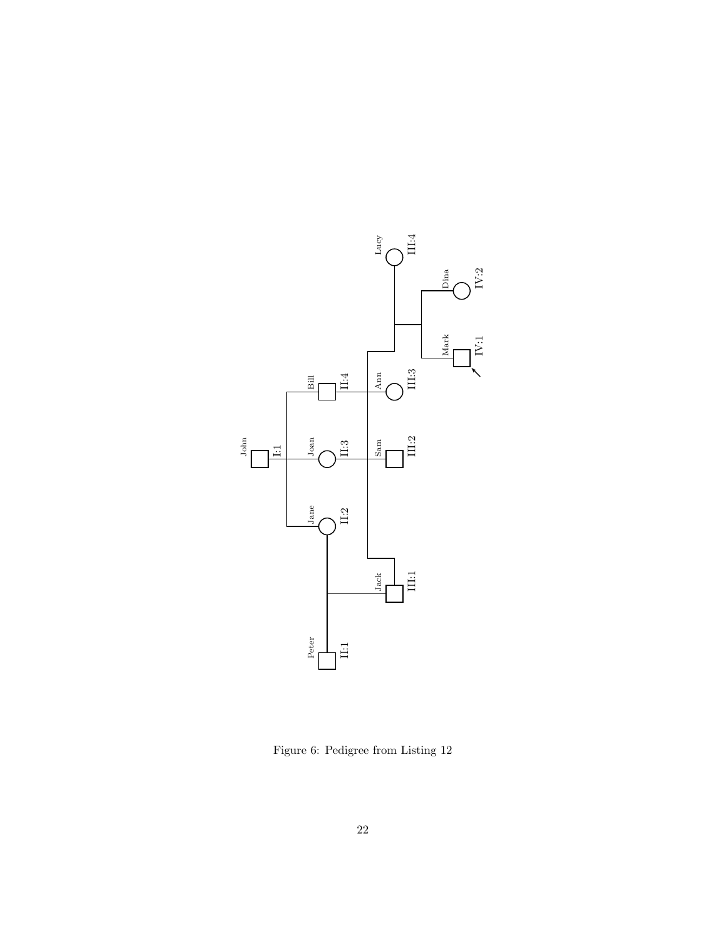

<span id="page-21-0"></span>Figure 6: Pedigree from Listing [12](#page-20-0)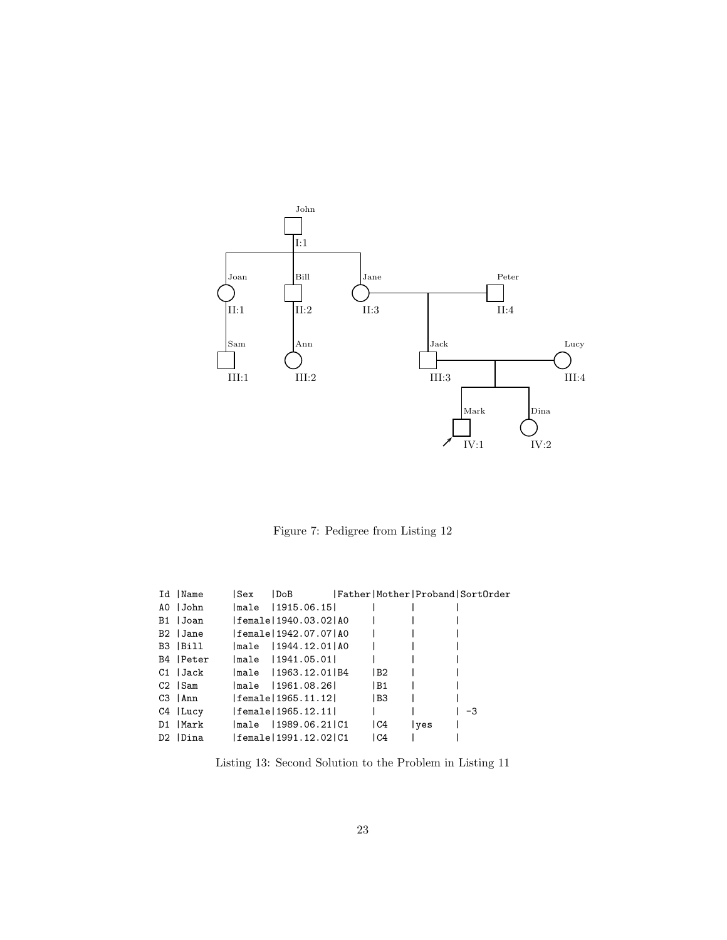

<span id="page-22-0"></span>Figure 7: Pedigree from Listing [12](#page-20-0)

<span id="page-22-1"></span>

| Id  Name   | Sex | l DoB                    |               |      | Father Mother Proband SortOrder |
|------------|-----|--------------------------|---------------|------|---------------------------------|
| AO IJohn   |     | male 11915.06.151        |               |      |                                 |
| B1  Joan   |     | female   1940.03.02   AO |               |      |                                 |
| B2 Jane    |     | female1942.07.071A0      |               |      |                                 |
| B3  Bill   |     | male 11944.12.011A0      |               |      |                                 |
| B4   Peter |     | male 11941.05.011        |               |      |                                 |
| C1  Jack   |     | male   1963.12.01   B4   | IB2           |      |                                 |
| C2 ISam    |     | male 1961.08.261         | IB1           |      |                                 |
| C3 lAnn    |     | female 1965.11.12        | IB3           |      |                                 |
| C4 Lucy    |     | female 1965.12.11        |               |      | -3                              |
| D1  Mark   |     | male 11989.06.211C1      | <sub>C4</sub> | lves |                                 |
| D2   Dina  |     | female   1991.12.02   C1 | IC4           |      |                                 |

Listing 13: Second Solution to the Problem in Listing [11](#page-20-1)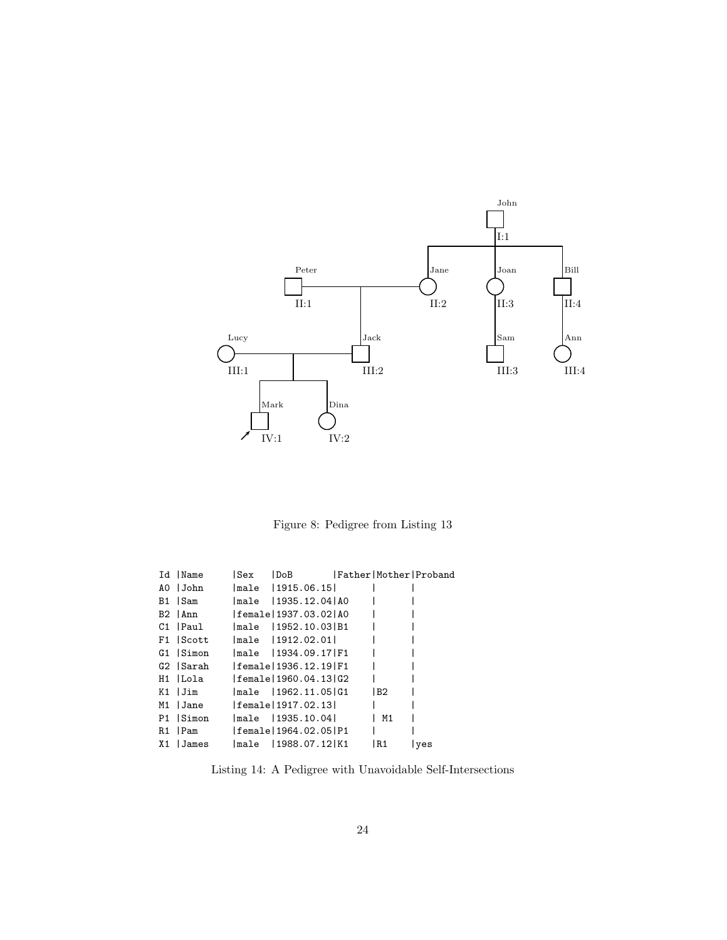

<span id="page-23-0"></span>Figure 8: Pedigree from Listing [13](#page-22-1)

<span id="page-23-1"></span>

| Id   Name | Sex | $\mathsf{IDoB}$          |      | Father Mother Proband |
|-----------|-----|--------------------------|------|-----------------------|
| AO IJohn  |     | male 11915.06.151        |      |                       |
| B1 ISam   |     | male 1935.12.041A0       |      |                       |
| B2 lAnn   |     | female   1937.03.02   AO |      |                       |
| C1  Paul  |     | male 11952.10.031B1      |      |                       |
| F1 Scott  |     | lmale 11912.02.011       |      |                       |
| G1 Simon  |     | male 11934.09.17 F1      |      |                       |
| G2  Sarah |     | female 1936.12.19 F1     |      |                       |
| H1  Lola  |     | female   1960.04.13 G2   |      |                       |
| K1  Jim   |     | $lmale$ $1962.11.05 G1$  | l B2 |                       |
| M1  Jane  |     | female   1917.02.13      |      |                       |
| P1 Simon  |     | male 11935.10.041        | M1   |                       |
| R1 Pam    |     | female   1964.02.05   P1 |      |                       |
| X1 James  |     | lmale 11988.07.121K1     | IR1  | lves                  |

Listing 14: A Pedigree with Unavoidable Self-Intersections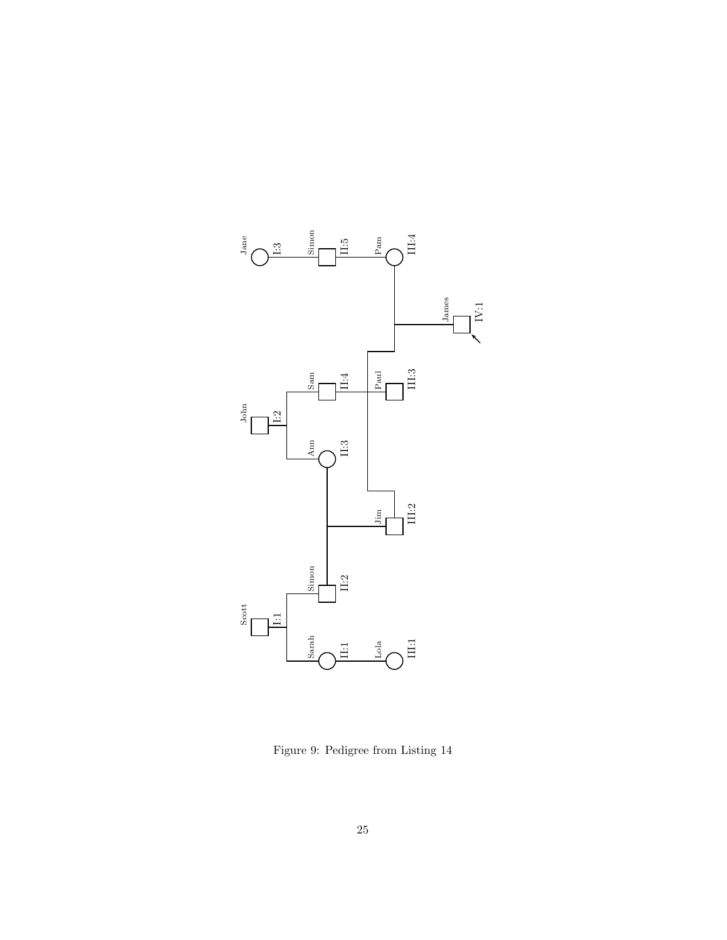

<span id="page-24-0"></span>Figure 9: Pedigree from Listing [14](#page-23-1)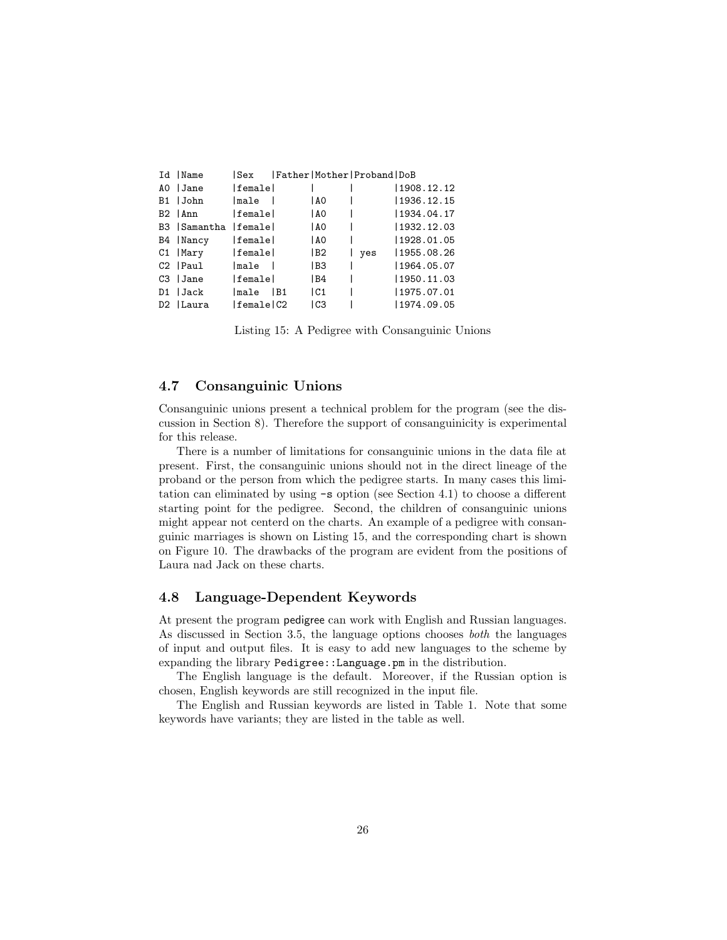<span id="page-25-2"></span>

| Id   Name              | l Sex          |    |                 | Father Mother Proband DoB |             |
|------------------------|----------------|----|-----------------|---------------------------|-------------|
| AO Jane                | female         |    |                 |                           | 1908.12.12  |
| B1  John               | male           |    | 1 A O           |                           | 1936.12.15  |
| B2   Ann               | <b>lfemale</b> |    | AO              |                           | 1934.04.17  |
| B3   Samantha   female |                |    | IAO             | $\mathbf{1}$              | 1932.12.03  |
| B4   Nancy             | female         |    | AO              |                           | 1928.01.05  |
| C1   Mary              | female         |    | IB <sub>2</sub> | yes                       | 1955.08.26  |
| $C2$   $Paul$          | lmale l        |    | IB <sub>3</sub> |                           | 1964.05.07  |
| C3   Jane              | lfemalel       |    | IB4             | $\mathbf{L}$              | 1950.11.03  |
| D1   Jack              | lmale          | B1 | C1              |                           | 1975.07.01  |
| D2   Laura             | female C2      |    | l C3            |                           | 11974.09.05 |

Listing 15: A Pedigree with Consanguinic Unions

#### <span id="page-25-0"></span>4.7 Consanguinic Unions

Consanguinic unions present a technical problem for the program (see the discussion in Section [8\)](#page-30-0). Therefore the support of consanguinicity is experimental for this release.

There is a number of limitations for consanguinic unions in the data file at present. First, the consanguinic unions should not in the direct lineage of the proband or the person from which the pedigree starts. In many cases this limitation can eliminated by using -s option (see Section [4.1\)](#page-9-1) to choose a different starting point for the pedigree. Second, the children of consanguinic unions might appear not centerd on the charts. An example of a pedigree with consanguinic marriages is shown on Listing [15,](#page-25-2) and the corresponding chart is shown on Figure [10.](#page-26-0) The drawbacks of the program are evident from the positions of Laura nad Jack on these charts.

#### <span id="page-25-1"></span>4.8 Language-Dependent Keywords

At present the program pedigree can work with English and Russian languages. As discussed in Section [3.5,](#page-7-0) the language options chooses both the languages of input and output files. It is easy to add new languages to the scheme by expanding the library Pedigree::Language.pm in the distribution.

The English language is the default. Moreover, if the Russian option is chosen, English keywords are still recognized in the input file.

The English and Russian keywords are listed in Table [1.](#page-27-0) Note that some keywords have variants; they are listed in the table as well.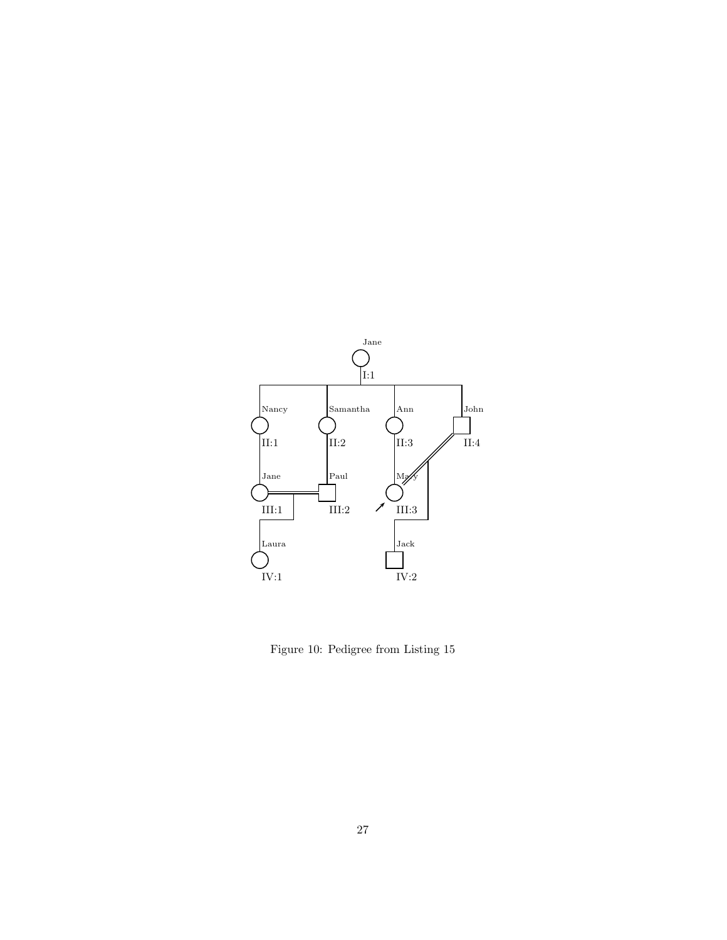

<span id="page-26-0"></span>Figure 10: Pedigree from Listing [15](#page-25-2)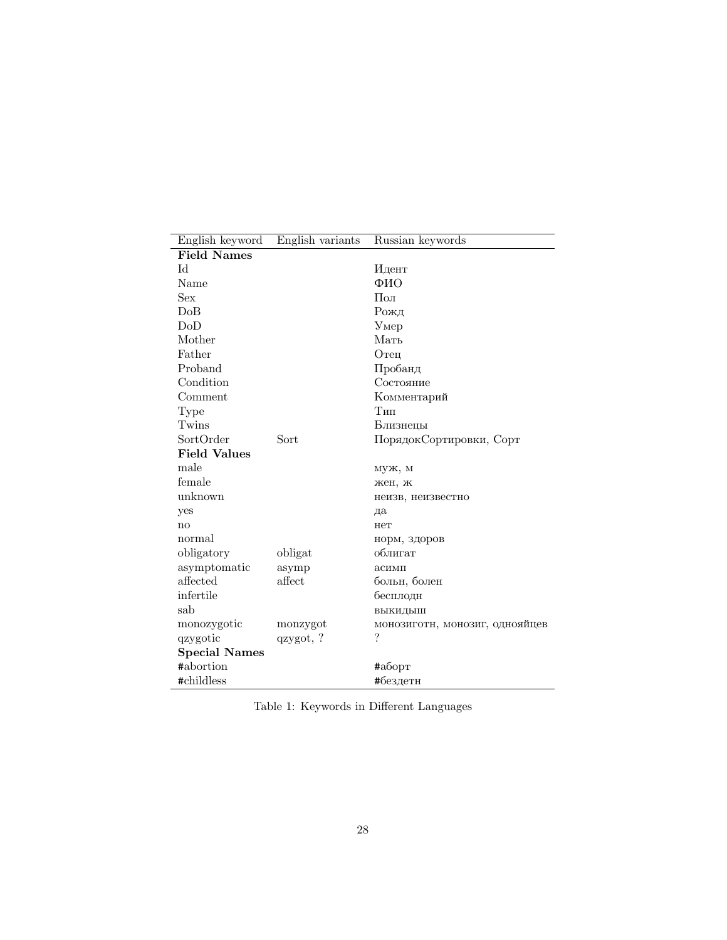| English keyword           | English variants | Russian keywords               |  |  |  |  |  |
|---------------------------|------------------|--------------------------------|--|--|--|--|--|
| <b>Field Names</b>        |                  |                                |  |  |  |  |  |
| Id                        |                  | Идент                          |  |  |  |  |  |
| Name                      |                  | ФИО                            |  |  |  |  |  |
| Sex                       |                  | Пол                            |  |  |  |  |  |
| DoB                       |                  | Рожд                           |  |  |  |  |  |
| DoD                       |                  | V <sub>MP</sub>                |  |  |  |  |  |
| Mother                    |                  | Мать                           |  |  |  |  |  |
| Father                    |                  | Отец                           |  |  |  |  |  |
| Proband                   |                  | Пробанд                        |  |  |  |  |  |
| Condition                 |                  | Состояние                      |  |  |  |  |  |
| Comment                   |                  | Комментарий                    |  |  |  |  |  |
| Type                      |                  | Тип                            |  |  |  |  |  |
| Twins                     |                  | Близнецы                       |  |  |  |  |  |
| SortOrder                 | Sort             | ПорядокСортировки, Сорт        |  |  |  |  |  |
| <b>Field Values</b>       |                  |                                |  |  |  |  |  |
| male                      |                  | муж, м                         |  |  |  |  |  |
| female                    |                  | жен, ж                         |  |  |  |  |  |
| unknown                   |                  | неизв, неизвестно              |  |  |  |  |  |
| yes                       |                  | да                             |  |  |  |  |  |
| no                        |                  | нет                            |  |  |  |  |  |
| normal                    |                  | норм, здоров                   |  |  |  |  |  |
| obligatory                | obligat          | облигат                        |  |  |  |  |  |
| asymptomatic              | asymp            | асимп                          |  |  |  |  |  |
| $\operatorname{affected}$ | affect           | больн, болен                   |  |  |  |  |  |
| infertile                 |                  | бесплодн                       |  |  |  |  |  |
| sab                       |                  | выкидыш                        |  |  |  |  |  |
| monozygotic               | monzygot         | монозиготн, монозиг, однояйцев |  |  |  |  |  |
| qzygotic                  | qzygot, ?        | $\overline{\cdot}$             |  |  |  |  |  |
| <b>Special Names</b>      |                  |                                |  |  |  |  |  |
| #abortion                 |                  | #аборт                         |  |  |  |  |  |
| #childless                |                  | #бездетн                       |  |  |  |  |  |

<span id="page-27-0"></span>

|  |  | Table 1: Keywords in Different Languages |  |
|--|--|------------------------------------------|--|
|--|--|------------------------------------------|--|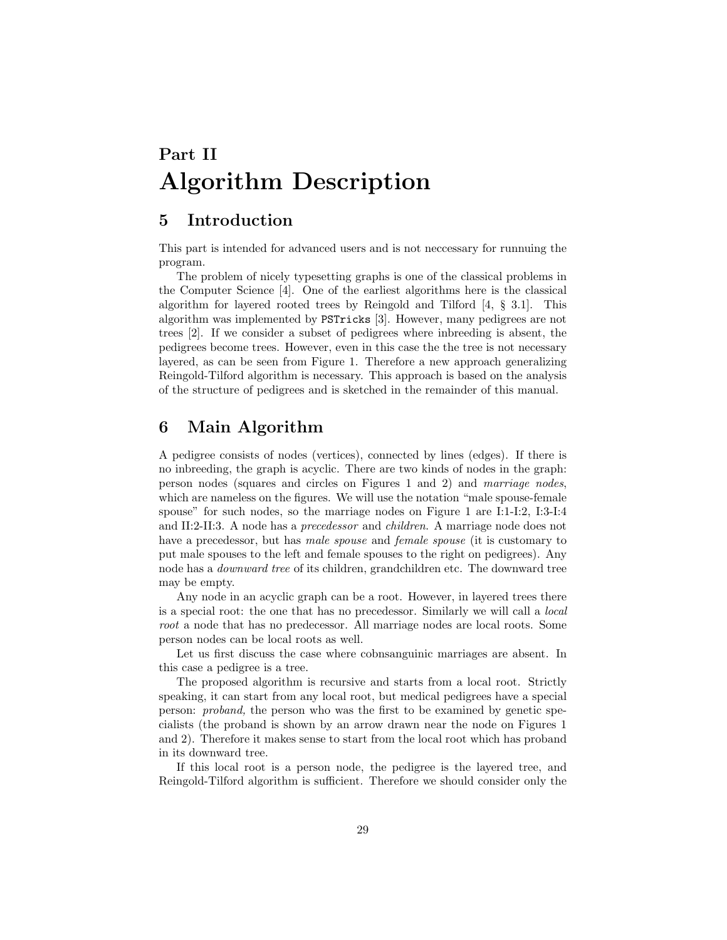# <span id="page-28-0"></span>Part II Algorithm Description

# <span id="page-28-1"></span>5 Introduction

This part is intended for advanced users and is not neccessary for runnuing the program.

The problem of nicely typesetting graphs is one of the classical problems in the Computer Science [\[4\]](#page-31-4). One of the earliest algorithms here is the classical algorithm for layered rooted trees by Reingold and Tilford [\[4,](#page-31-4) § 3.1]. This algorithm was implemented by PSTricks [\[3\]](#page-31-3). However, many pedigrees are not trees [\[2\]](#page-31-2). If we consider a subset of pedigrees where inbreeding is absent, the pedigrees become trees. However, even in this case the the tree is not necessary layered, as can be seen from Figure [1.](#page-14-0) Therefore a new approach generalizing Reingold-Tilford algorithm is necessary. This approach is based on the analysis of the structure of pedigrees and is sketched in the remainder of this manual.

### <span id="page-28-2"></span>6 Main Algorithm

A pedigree consists of nodes (vertices), connected by lines (edges). If there is no inbreeding, the graph is acyclic. There are two kinds of nodes in the graph: person nodes (squares and circles on Figures [1](#page-14-0) and [2\)](#page-15-0) and marriage nodes, which are nameless on the figures. We will use the notation "male spouse-female spouse" for such nodes, so the marriage nodes on Figure [1](#page-14-0) are I:1-I:2, I:3-I:4 and II:2-II:3. A node has a precedessor and children. A marriage node does not have a precedessor, but has *male spouse* and *female spouse* (it is customary to put male spouses to the left and female spouses to the right on pedigrees). Any node has a downward tree of its children, grandchildren etc. The downward tree may be empty.

Any node in an acyclic graph can be a root. However, in layered trees there is a special root: the one that has no precedessor. Similarly we will call a local root a node that has no predecessor. All marriage nodes are local roots. Some person nodes can be local roots as well.

Let us first discuss the case where cobnsanguinic marriages are absent. In this case a pedigree is a tree.

The proposed algorithm is recursive and starts from a local root. Strictly speaking, it can start from any local root, but medical pedigrees have a special person: proband, the person who was the first to be examined by genetic specialists (the proband is shown by an arrow drawn near the node on Figures [1](#page-14-0) and [2\)](#page-15-0). Therefore it makes sense to start from the local root which has proband in its downward tree.

If this local root is a person node, the pedigree is the layered tree, and Reingold-Tilford algorithm is sufficient. Therefore we should consider only the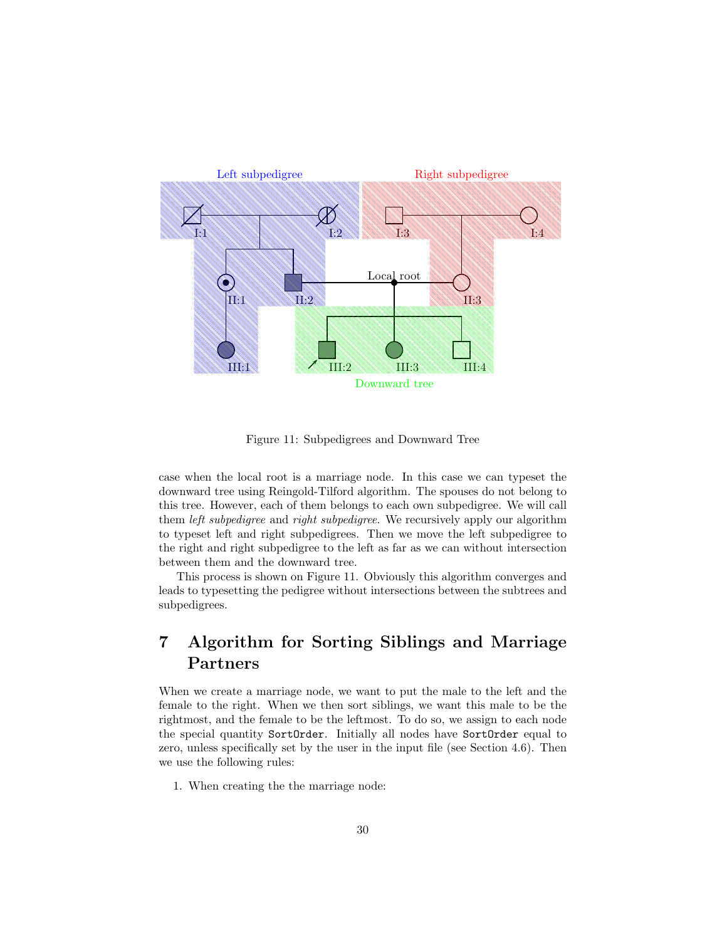

<span id="page-29-1"></span>Figure 11: Subpedigrees and Downward Tree

case when the local root is a marriage node. In this case we can typeset the downward tree using Reingold-Tilford algorithm. The spouses do not belong to this tree. However, each of them belongs to each own subpedigree. We will call them left subpedigree and right subpedigree. We recursively apply our algorithm to typeset left and right subpedigrees. Then we move the left subpedigree to the right and right subpedigree to the left as far as we can without intersection between them and the downward tree.

This process is shown on Figure [11.](#page-29-1) Obviously this algorithm converges and leads to typesetting the pedigree without intersections between the subtrees and subpedigrees.

# <span id="page-29-0"></span>7 Algorithm for Sorting Siblings and Marriage Partners

When we create a marriage node, we want to put the male to the left and the female to the right. When we then sort siblings, we want this male to be the rightmost, and the female to be the leftmost. To do so, we assign to each node the special quantity SortOrder. Initially all nodes have SortOrder equal to zero, unless specifically set by the user in the input file (see Section [4.6\)](#page-18-0). Then we use the following rules:

1. When creating the the marriage node: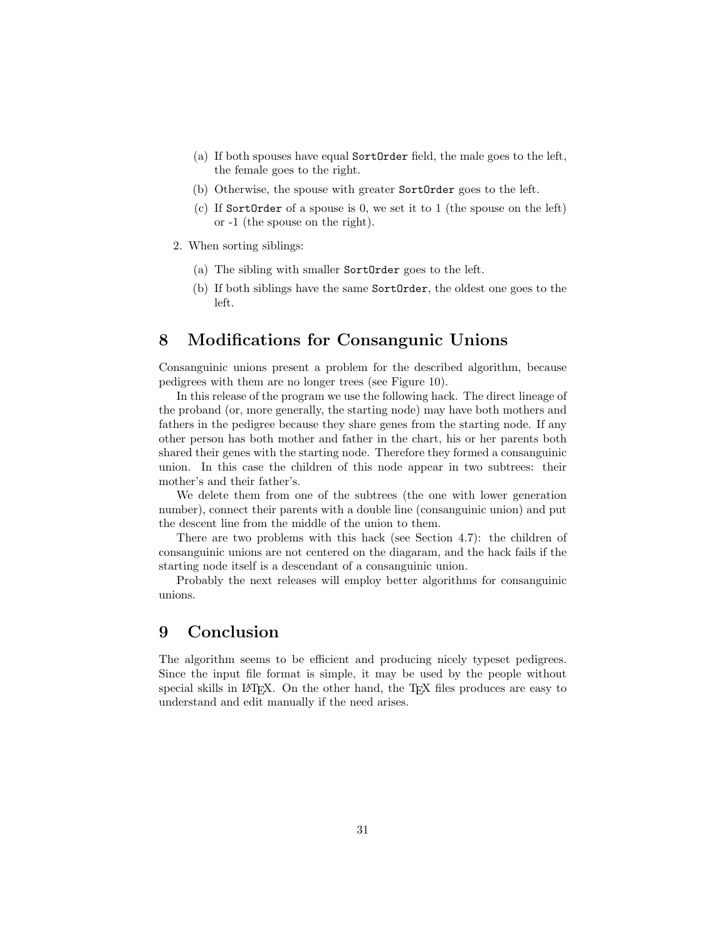- (a) If both spouses have equal SortOrder field, the male goes to the left, the female goes to the right.
- (b) Otherwise, the spouse with greater SortOrder goes to the left.
- (c) If SortOrder of a spouse is 0, we set it to 1 (the spouse on the left) or -1 (the spouse on the right).
- 2. When sorting siblings:
	- (a) The sibling with smaller SortOrder goes to the left.
	- (b) If both siblings have the same SortOrder, the oldest one goes to the left.

## <span id="page-30-0"></span>8 Modifications for Consangunic Unions

Consanguinic unions present a problem for the described algorithm, because pedigrees with them are no longer trees (see Figure [10\)](#page-26-0).

In this release of the program we use the following hack. The direct lineage of the proband (or, more generally, the starting node) may have both mothers and fathers in the pedigree because they share genes from the starting node. If any other person has both mother and father in the chart, his or her parents both shared their genes with the starting node. Therefore they formed a consanguinic union. In this case the children of this node appear in two subtrees: their mother's and their father's.

We delete them from one of the subtrees (the one with lower generation number), connect their parents with a double line (consanguinic union) and put the descent line from the middle of the union to them.

There are two problems with this hack (see Section [4.7\)](#page-25-0): the children of consanguinic unions are not centered on the diagaram, and the hack fails if the starting node itself is a descendant of a consanguinic union.

Probably the next releases will employ better algorithms for consanguinic unions.

# <span id="page-30-1"></span>9 Conclusion

The algorithm seems to be efficient and producing nicely typeset pedigrees. Since the input file format is simple, it may be used by the people without special skills in L<sup>AT</sup>EX. On the other hand, the TEX files produces are easy to understand and edit manually if the need arises.